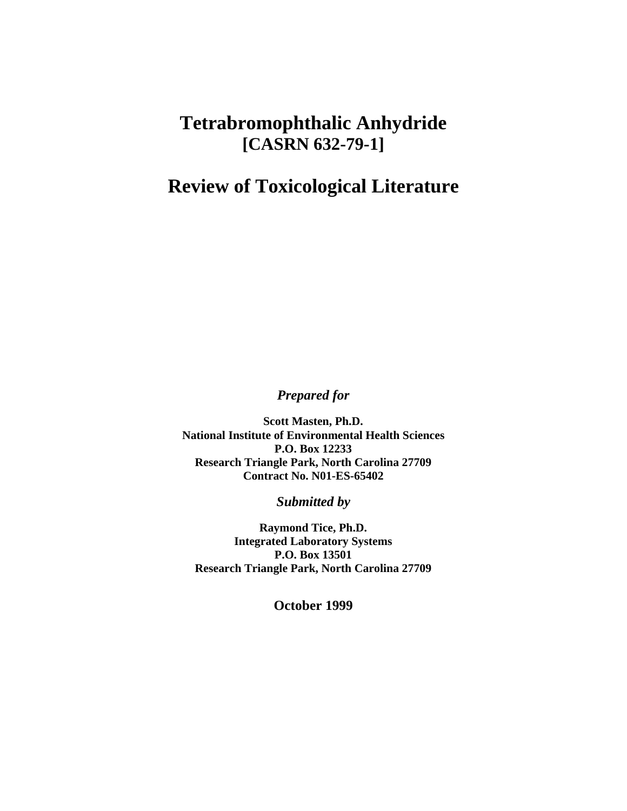## **Tetrabromophthalic Anhydride [CASRN 632-79-1]**

## **Review of Toxicological Literature**

*Prepared for* 

**Scott Masten, Ph.D. National Institute of Environmental Health Sciences P.O. Box 12233 Research Triangle Park, North Carolina 27709 Contract No. N01-ES-65402**

*Submitted by* 

**Raymond Tice, Ph.D. Integrated Laboratory Systems P.O. Box 13501 Research Triangle Park, North Carolina 27709**

**October 1999**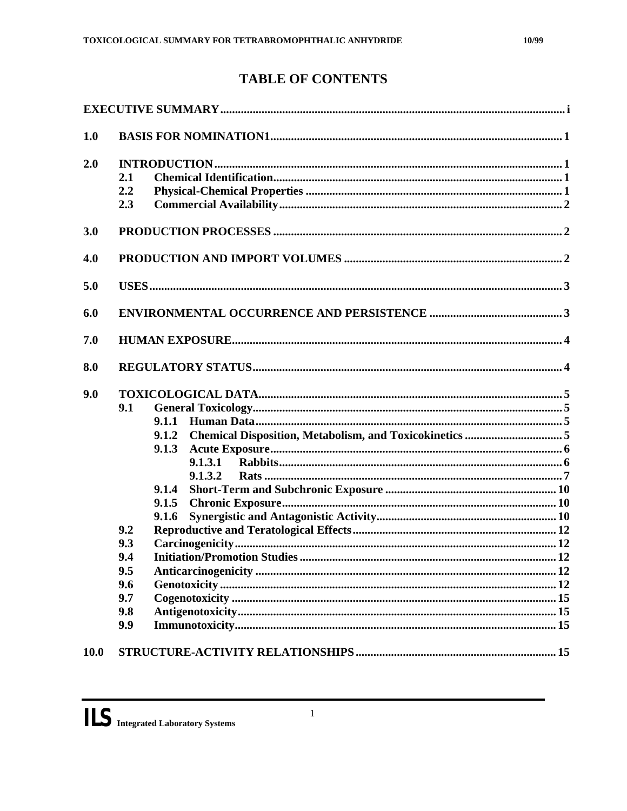## **TABLE OF CONTENTS**

| 1.0         |                                                                                                                                         |
|-------------|-----------------------------------------------------------------------------------------------------------------------------------------|
| 2.0         | 2.1<br>2.2<br>2.3                                                                                                                       |
| 3.0         |                                                                                                                                         |
| 4.0         |                                                                                                                                         |
| 5.0         |                                                                                                                                         |
| 6.0         |                                                                                                                                         |
| 7.0         |                                                                                                                                         |
| 8.0         |                                                                                                                                         |
| 9.0         | 9.1<br>9.1.1<br>9.1.2<br>9.1.3<br>9.1.3.1<br>9.1.3.2<br>9.1.4<br>9.1.5<br>9.1.6<br>9.2<br>9.3<br>9.4<br>9.5<br>9.6<br>9.7<br>9.8<br>9.9 |
| <b>10.0</b> |                                                                                                                                         |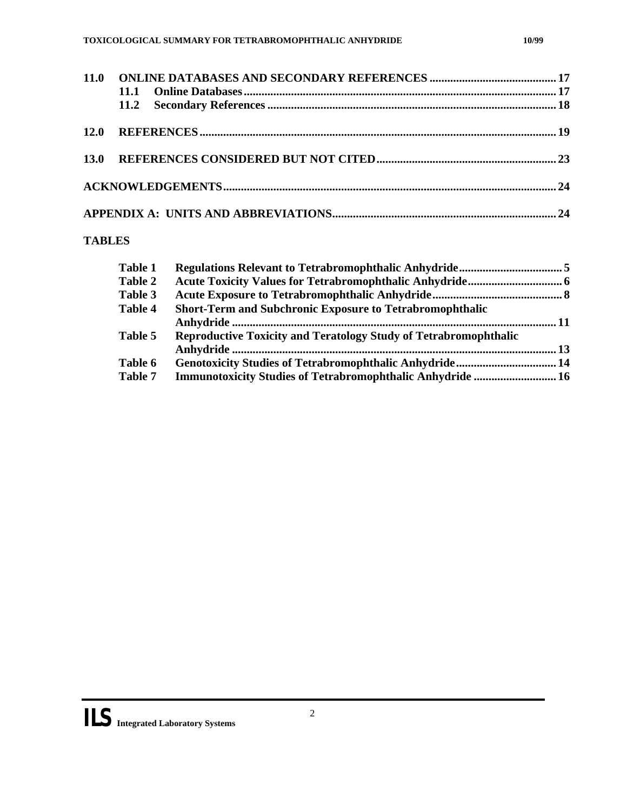<span id="page-2-0"></span>

## **TABLES**

| <b>Table 1</b> |                                                                         |  |
|----------------|-------------------------------------------------------------------------|--|
| Table 2        |                                                                         |  |
| Table 3        |                                                                         |  |
| Table 4        | <b>Short-Term and Subchronic Exposure to Tetrabromophthalic</b>         |  |
|                |                                                                         |  |
| Table 5        | <b>Reproductive Toxicity and Teratology Study of Tetrabromophthalic</b> |  |
|                |                                                                         |  |
| Table 6        |                                                                         |  |
| <b>Table 7</b> | Immunotoxicity Studies of Tetrabromophthalic Anhydride  16              |  |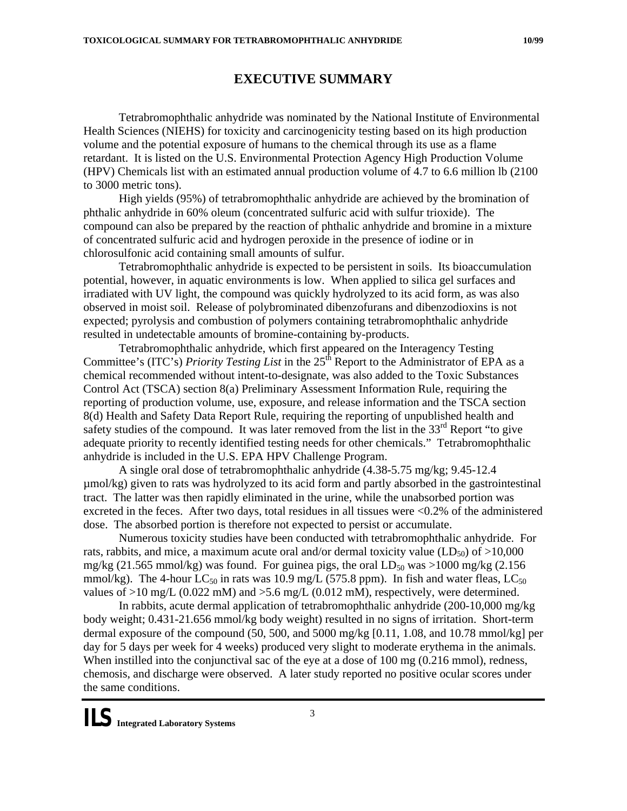<span id="page-3-0"></span>Tetrabromophthalic anhydride was nominated by the National Institute of Environmental Health Sciences (NIEHS) for toxicity and carcinogenicity testing based on its high production volume and the potential exposure of humans to the chemical through its use as a flame retardant. It is listed on the U.S. Environmental Protection Agency High Production Volume (HPV) Chemicals list with an estimated annual production volume of 4.7 to 6.6 million lb (2100 to 3000 metric tons).

High yields (95%) of tetrabromophthalic anhydride are achieved by the bromination of phthalic anhydride in 60% oleum (concentrated sulfuric acid with sulfur trioxide). The compound can also be prepared by the reaction of phthalic anhydride and bromine in a mixture of concentrated sulfuric acid and hydrogen peroxide in the presence of iodine or in chlorosulfonic acid containing small amounts of sulfur.

Tetrabromophthalic anhydride is expected to be persistent in soils. Its bioaccumulation potential, however, in aquatic environments is low. When applied to silica gel surfaces and irradiated with UV light, the compound was quickly hydrolyzed to its acid form, as was also observed in moist soil. Release of polybrominated dibenzofurans and dibenzodioxins is not expected; pyrolysis and combustion of polymers containing tetrabromophthalic anhydride resulted in undetectable amounts of bromine-containing by-products.

Tetrabromophthalic anhydride, which first appeared on the Interagency Testing Committee's (ITC's) *Priority Testing List* in the 25<sup>th</sup> Report to the Administrator of EPA as a chemical recommended without intent-to-designate, was also added to the Toxic Substances Control Act (TSCA) section 8(a) Preliminary Assessment Information Rule, requiring the reporting of production volume, use, exposure, and release information and the TSCA section 8(d) Health and Safety Data Report Rule, requiring the reporting of unpublished health and safety studies of the compound. It was later removed from the list in the  $33<sup>rd</sup>$  Report "to give adequate priority to recently identified testing needs for other chemicals." Tetrabromophthalic anhydride is included in the U.S. EPA HPV Challenge Program.

A single oral dose of tetrabromophthalic anhydride (4.38-5.75 mg/kg; 9.45-12.4 µmol/kg) given to rats was hydrolyzed to its acid form and partly absorbed in the gastrointestinal tract. The latter was then rapidly eliminated in the urine, while the unabsorbed portion was excreted in the feces. After two days, total residues in all tissues were <0.2% of the administered dose. The absorbed portion is therefore not expected to persist or accumulate.

Numerous toxicity studies have been conducted with tetrabromophthalic anhydride. For rats, rabbits, and mice, a maximum acute oral and/or dermal toxicity value  $(LD_{50})$  of  $>10,000$ mg/kg (21.565 mmol/kg) was found. For guinea pigs, the oral  $LD_{50}$  was >1000 mg/kg (2.156 mmol/kg). The 4-hour  $LC_{50}$  in rats was 10.9 mg/L (575.8 ppm). In fish and water fleas,  $LC_{50}$ values of  $>10$  mg/L (0.022 mM) and  $>5.6$  mg/L (0.012 mM), respectively, were determined.

In rabbits, acute dermal application of tetrabromophthalic anhydride (200-10,000 mg/kg body weight; 0.431-21.656 mmol/kg body weight) resulted in no signs of irritation. Short-term dermal exposure of the compound  $(50, 500, \text{ and } 5000 \text{ mg/kg}$  [0.11, 1.08, and 10.78 mmol/kg] per day for 5 days per week for 4 weeks) produced very slight to moderate erythema in the animals. When instilled into the conjunctival sac of the eye at a dose of 100 mg (0.216 mmol), redness, chemosis, and discharge were observed. A later study reported no positive ocular scores under the same conditions.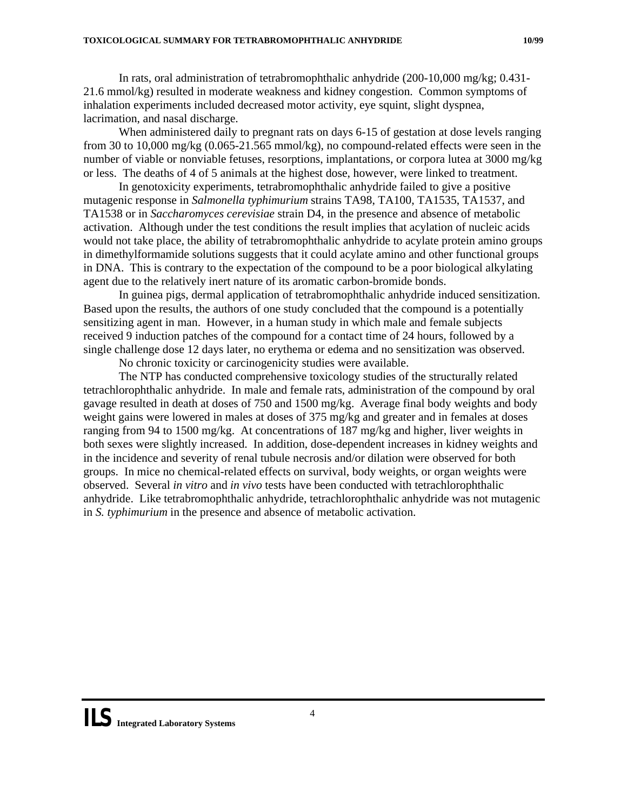<span id="page-4-0"></span>In rats, oral administration of tetrabromophthalic anhydride (200-10,000 mg/kg; 0.431- 21.6 mmol/kg) resulted in moderate weakness and kidney congestion. Common symptoms of inhalation experiments included decreased motor activity, eye squint, slight dyspnea, lacrimation, and nasal discharge.

When administered daily to pregnant rats on days 6-15 of gestation at dose levels ranging from 30 to 10,000 mg/kg (0.065-21.565 mmol/kg), no compound-related effects were seen in the number of viable or nonviable fetuses, resorptions, implantations, or corpora lutea at 3000 mg/kg or less. The deaths of 4 of 5 animals at the highest dose, however, were linked to treatment.

In genotoxicity experiments, tetrabromophthalic anhydride failed to give a positive mutagenic response in *Salmonella typhimurium* strains TA98, TA100, TA1535, TA1537, and TA1538 or in *Saccharomyces cerevisiae* strain D4, in the presence and absence of metabolic activation. Although under the test conditions the result implies that acylation of nucleic acids would not take place, the ability of tetrabromophthalic anhydride to acylate protein amino groups in dimethylformamide solutions suggests that it could acylate amino and other functional groups in DNA. This is contrary to the expectation of the compound to be a poor biological alkylating agent due to the relatively inert nature of its aromatic carbon-bromide bonds.

In guinea pigs, dermal application of tetrabromophthalic anhydride induced sensitization. Based upon the results, the authors of one study concluded that the compound is a potentially sensitizing agent in man. However, in a human study in which male and female subjects received 9 induction patches of the compound for a contact time of 24 hours, followed by a single challenge dose 12 days later, no erythema or edema and no sensitization was observed.

No chronic toxicity or carcinogenicity studies were available.

The NTP has conducted comprehensive toxicology studies of the structurally related tetrachlorophthalic anhydride. In male and female rats, administration of the compound by oral gavage resulted in death at doses of 750 and 1500 mg/kg. Average final body weights and body weight gains were lowered in males at doses of 375 mg/kg and greater and in females at doses ranging from 94 to 1500 mg/kg. At concentrations of 187 mg/kg and higher, liver weights in both sexes were slightly increased. In addition, dose-dependent increases in kidney weights and in the incidence and severity of renal tubule necrosis and/or dilation were observed for both groups. In mice no chemical-related effects on survival, body weights, or organ weights were observed. Several *in vitro* and *in vivo* tests have been conducted with tetrachlorophthalic anhydride. Like tetrabromophthalic anhydride, tetrachlorophthalic anhydride was not mutagenic in *S. typhimurium* in the presence and absence of metabolic activation.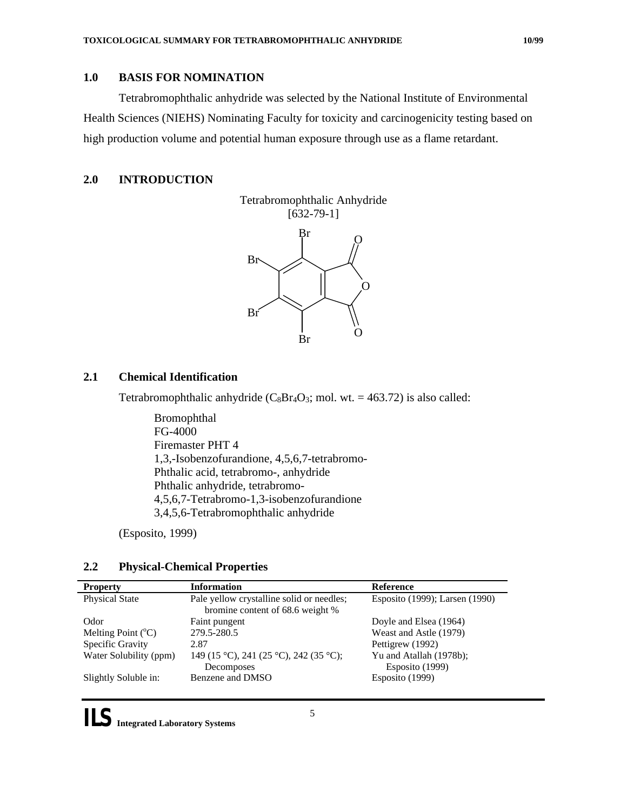<span id="page-5-0"></span>Tetrabromophthalic anhydride was selected by the National Institute of Environmental Health Sciences (NIEHS) Nominating Faculty for toxicity and carcinogenicity testing based on high production volume and potential human exposure through use as a flame retardant.

## **2.0 INTRODUCTION**



## **2.1 Chemical Identification**

Tetrabromophthalic anhydride  $(C_8Br_4O_3;$  mol. wt. = 463.72) is also called:

Bromophthal FG-4000 Firemaster PHT 4 1,3,-Isobenzofurandione, 4,5,6,7-tetrabromo-Phthalic acid, tetrabromo-, anhydride Phthalic anhydride, tetrabromo-4,5,6,7-Tetrabromo-1,3-isobenzofurandione 3,4,5,6-Tetrabromophthalic anhydride

(Esposito, 1999)

### **2.2 Physical-Chemical Properties**

| <b>Property</b>               | <b>Information</b>                                                            | <b>Reference</b>                           |
|-------------------------------|-------------------------------------------------------------------------------|--------------------------------------------|
| <b>Physical State</b>         | Pale yellow crystalline solid or needles;<br>bromine content of 68.6 weight % | Esposito (1999); Larsen (1990)             |
| Odor                          | Faint pungent                                                                 | Doyle and Elsea (1964)                     |
| Melting Point $({}^{\circ}C)$ | 279.5-280.5                                                                   | Weast and Astle (1979)                     |
| Specific Gravity              | 2.87                                                                          | Pettigrew (1992)                           |
| Water Solubility (ppm)        | 149 (15 °C), 241 (25 °C), 242 (35 °C);<br>Decomposes                          | Yu and Atallah (1978b);<br>Esposito (1999) |
| Slightly Soluble in:          | Benzene and DMSO                                                              | Esposito (1999)                            |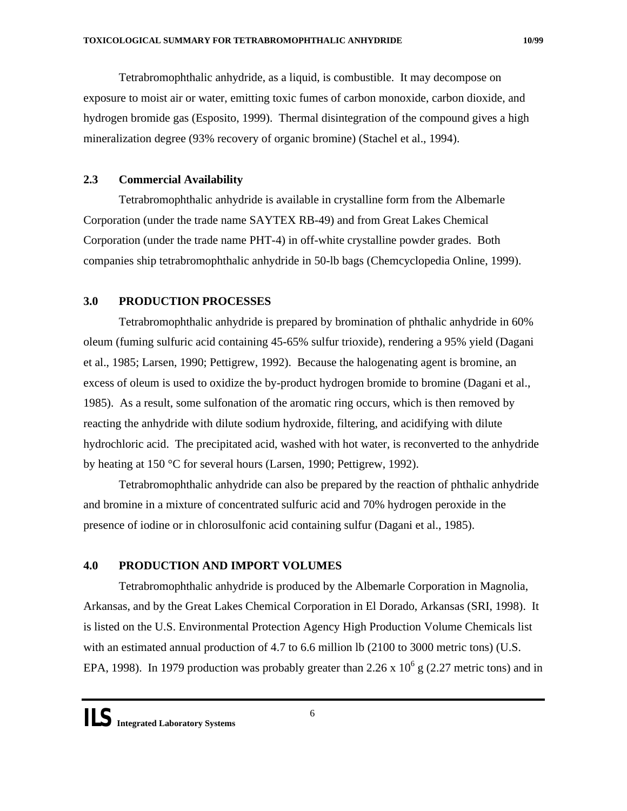<span id="page-6-0"></span>Tetrabromophthalic anhydride, as a liquid, is combustible. It may decompose on exposure to moist air or water, emitting toxic fumes of carbon monoxide, carbon dioxide, and hydrogen bromide gas (Esposito, 1999). Thermal disintegration of the compound gives a high mineralization degree (93% recovery of organic bromine) (Stachel et al., 1994).

## **2.3 Commercial Availability**

Tetrabromophthalic anhydride is available in crystalline form from the Albemarle Corporation (under the trade name SAYTEX RB-49) and from Great Lakes Chemical Corporation (under the trade name PHT-4) in off-white crystalline powder grades. Both companies ship tetrabromophthalic anhydride in 50-lb bags (Chemcyclopedia Online, 1999).

## **3.0 PRODUCTION PROCESSES**

Tetrabromophthalic anhydride is prepared by bromination of phthalic anhydride in 60% oleum (fuming sulfuric acid containing 45-65% sulfur trioxide), rendering a 95% yield (Dagani et al., 1985; Larsen, 1990; Pettigrew, 1992). Because the halogenating agent is bromine, an excess of oleum is used to oxidize the by-product hydrogen bromide to bromine (Dagani et al., 1985). As a result, some sulfonation of the aromatic ring occurs, which is then removed by reacting the anhydride with dilute sodium hydroxide, filtering, and acidifying with dilute hydrochloric acid. The precipitated acid, washed with hot water, is reconverted to the anhydride by heating at 150 °C for several hours (Larsen, 1990; Pettigrew, 1992).

Tetrabromophthalic anhydride can also be prepared by the reaction of phthalic anhydride and bromine in a mixture of concentrated sulfuric acid and 70% hydrogen peroxide in the presence of iodine or in chlorosulfonic acid containing sulfur (Dagani et al., 1985).

## **4.0 PRODUCTION AND IMPORT VOLUMES**

Tetrabromophthalic anhydride is produced by the Albemarle Corporation in Magnolia, Arkansas, and by the Great Lakes Chemical Corporation in El Dorado, Arkansas (SRI, 1998). It is listed on the U.S. Environmental Protection Agency High Production Volume Chemicals list with an estimated annual production of 4.7 to 6.6 million lb (2100 to 3000 metric tons) (U.S. EPA, 1998). In 1979 production was probably greater than 2.26 x  $10^6$  g (2.27 metric tons) and in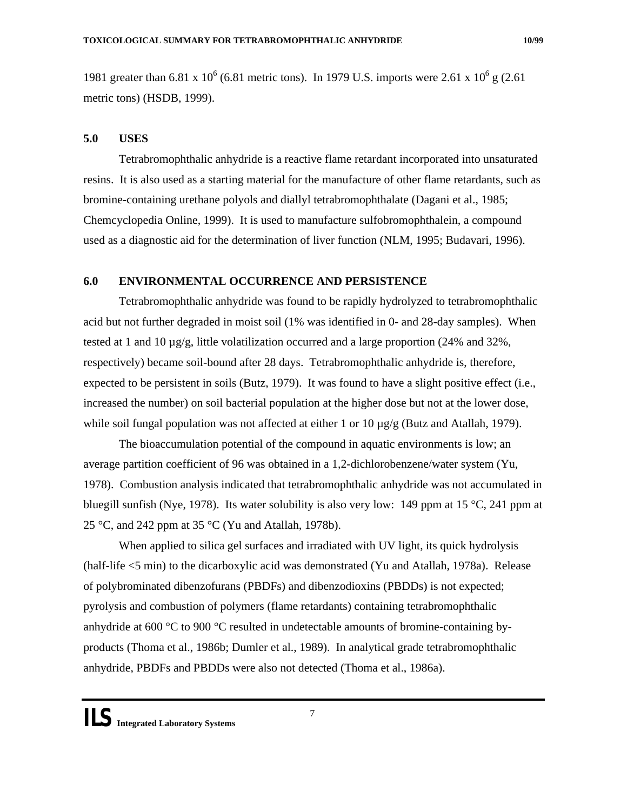<span id="page-7-0"></span>1981 greater than 6.81 x  $10^6$  (6.81 metric tons). In 1979 U.S. imports were 2.61 x  $10^6$  g (2.61) metric tons) (HSDB, 1999).

#### **5.0 USES**

Tetrabromophthalic anhydride is a reactive flame retardant incorporated into unsaturated resins. It is also used as a starting material for the manufacture of other flame retardants, such as bromine-containing urethane polyols and diallyl tetrabromophthalate (Dagani et al., 1985; Chemcyclopedia Online, 1999). It is used to manufacture sulfobromophthalein, a compound used as a diagnostic aid for the determination of liver function (NLM, 1995; Budavari, 1996).

## **6.0 ENVIRONMENTAL OCCURRENCE AND PERSISTENCE**

Tetrabromophthalic anhydride was found to be rapidly hydrolyzed to tetrabromophthalic acid but not further degraded in moist soil (1% was identified in 0- and 28-day samples). When tested at 1 and 10  $\mu$ g/g, little volatilization occurred and a large proportion (24% and 32%, respectively) became soil-bound after 28 days. Tetrabromophthalic anhydride is, therefore, expected to be persistent in soils (Butz, 1979). It was found to have a slight positive effect (i.e., increased the number) on soil bacterial population at the higher dose but not at the lower dose, while soil fungal population was not affected at either 1 or  $10 \mu g/g$  (Butz and Atallah, 1979).

The bioaccumulation potential of the compound in aquatic environments is low; an average partition coefficient of 96 was obtained in a 1,2-dichlorobenzene/water system (Yu, 1978). Combustion analysis indicated that tetrabromophthalic anhydride was not accumulated in bluegill sunfish (Nye, 1978). Its water solubility is also very low: 149 ppm at 15  $\degree$ C, 241 ppm at 25 °C, and 242 ppm at 35 °C (Yu and Atallah, 1978b).

When applied to silica gel surfaces and irradiated with UV light, its quick hydrolysis (half-life <5 min) to the dicarboxylic acid was demonstrated (Yu and Atallah, 1978a). Release of polybrominated dibenzofurans (PBDFs) and dibenzodioxins (PBDDs) is not expected; pyrolysis and combustion of polymers (flame retardants) containing tetrabromophthalic anhydride at 600  $\degree$ C to 900  $\degree$ C resulted in undetectable amounts of bromine-containing byproducts (Thoma et al., 1986b; Dumler et al., 1989). In analytical grade tetrabromophthalic anhydride, PBDFs and PBDDs were also not detected (Thoma et al., 1986a).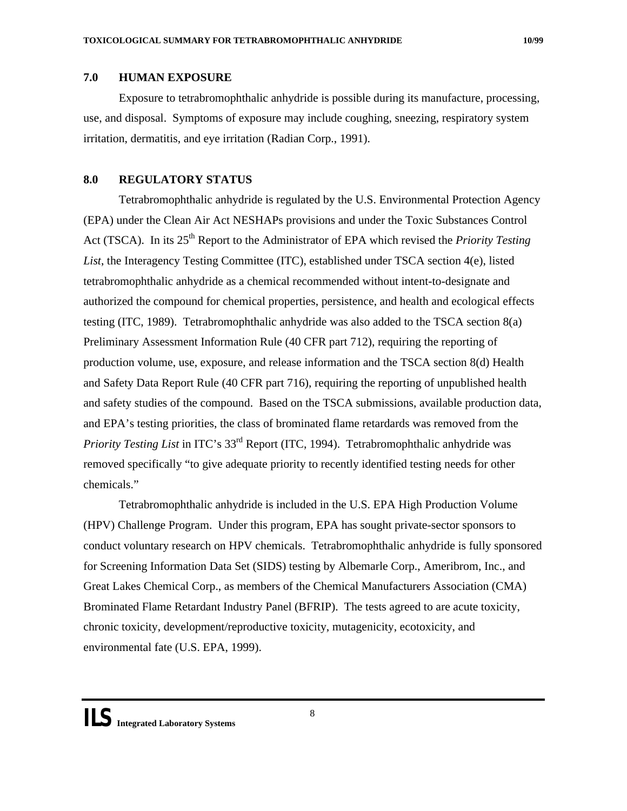## <span id="page-8-0"></span>**7.0 HUMAN EXPOSURE**

Exposure to tetrabromophthalic anhydride is possible during its manufacture, processing, use, and disposal. Symptoms of exposure may include coughing, sneezing, respiratory system irritation, dermatitis, and eye irritation (Radian Corp., 1991).

## **8.0 REGULATORY STATUS**

Tetrabromophthalic anhydride is regulated by the U.S. Environmental Protection Agency (EPA) under the Clean Air Act NESHAPs provisions and under the Toxic Substances Control Act (TSCA). In its 25<sup>th</sup> Report to the Administrator of EPA which revised the *Priority Testing List*, the Interagency Testing Committee (ITC), established under TSCA section 4(e), listed tetrabromophthalic anhydride as a chemical recommended without intent-to-designate and authorized the compound for chemical properties, persistence, and health and ecological effects testing (ITC, 1989). Tetrabromophthalic anhydride was also added to the TSCA section 8(a) Preliminary Assessment Information Rule (40 CFR part 712), requiring the reporting of production volume, use, exposure, and release information and the TSCA section 8(d) Health and Safety Data Report Rule (40 CFR part 716), requiring the reporting of unpublished health and safety studies of the compound. Based on the TSCA submissions, available production data, and EPA's testing priorities, the class of brominated flame retardards was removed from the *Priority Testing List* in ITC's 33<sup>rd</sup> Report (ITC, 1994). Tetrabromophthalic anhydride was removed specifically "to give adequate priority to recently identified testing needs for other chemicals."

Tetrabromophthalic anhydride is included in the U.S. EPA High Production Volume (HPV) Challenge Program. Under this program, EPA has sought private-sector sponsors to conduct voluntary research on HPV chemicals. Tetrabromophthalic anhydride is fully sponsored for Screening Information Data Set (SIDS) testing by Albemarle Corp., Ameribrom, Inc., and Great Lakes Chemical Corp., as members of the Chemical Manufacturers Association (CMA) Brominated Flame Retardant Industry Panel (BFRIP). The tests agreed to are acute toxicity, chronic toxicity, development/reproductive toxicity, mutagenicity, ecotoxicity, and environmental fate (U.S. EPA, 1999).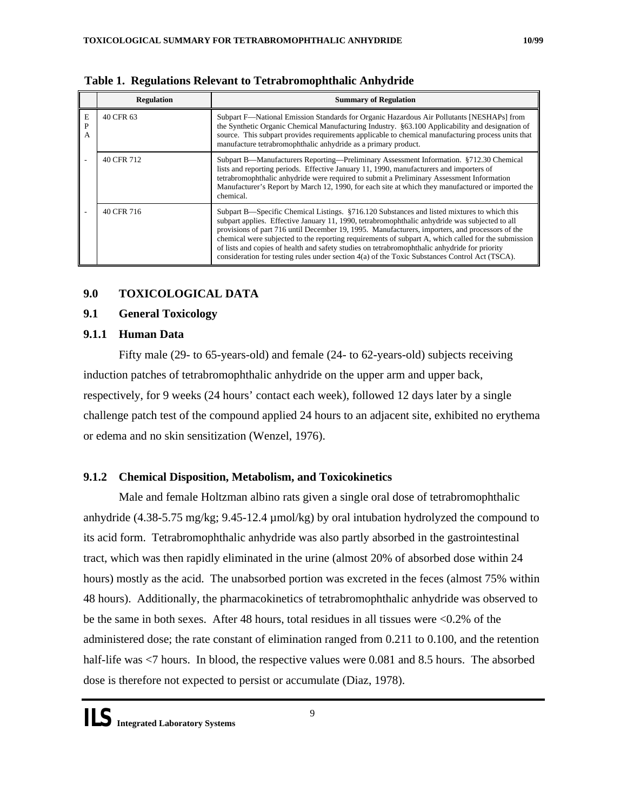|             | <b>Regulation</b> | <b>Summary of Regulation</b>                                                                                                                                                                                                                                                                                                                                                                                                                                                                                                                                                                               |
|-------------|-------------------|------------------------------------------------------------------------------------------------------------------------------------------------------------------------------------------------------------------------------------------------------------------------------------------------------------------------------------------------------------------------------------------------------------------------------------------------------------------------------------------------------------------------------------------------------------------------------------------------------------|
| Е<br>P<br>A | 40 CFR 63         | Subpart F—National Emission Standards for Organic Hazardous Air Pollutants [NESHAPs] from<br>the Synthetic Organic Chemical Manufacturing Industry. §63.100 Applicability and designation of<br>source. This subpart provides requirements applicable to chemical manufacturing process units that<br>manufacture tetrabromophthalic anhydride as a primary product.                                                                                                                                                                                                                                       |
|             | 40 CFR 712        | Subpart B—Manufacturers Reporting—Preliminary Assessment Information. §712.30 Chemical<br>lists and reporting periods. Effective January 11, 1990, manufacturers and importers of<br>tetrabromophthalic anhydride were required to submit a Preliminary Assessment Information<br>Manufacturer's Report by March 12, 1990, for each site at which they manufactured or imported the<br>chemical.                                                                                                                                                                                                           |
|             | 40 CFR 716        | Subpart B—Specific Chemical Listings. §716.120 Substances and listed mixtures to which this<br>subpart applies. Effective January 11, 1990, tetrabromophthalic anhydride was subjected to all<br>provisions of part 716 until December 19, 1995. Manufacturers, importers, and processors of the<br>chemical were subjected to the reporting requirements of subpart A, which called for the submission<br>of lists and copies of health and safety studies on tetrabromophthalic anhydride for priority<br>consideration for testing rules under section 4(a) of the Toxic Substances Control Act (TSCA). |

**Table 1. Regulations Relevant to Tetrabromophthalic Anhydride** 

## **9.0 TOXICOLOGICAL DATA**

## **9.1 General Toxicology**

## **9.1.1 Human Data**

Fifty male (29- to 65-years-old) and female (24- to 62-years-old) subjects receiving induction patches of tetrabromophthalic anhydride on the upper arm and upper back, respectively, for 9 weeks (24 hours' contact each week), followed 12 days later by a single challenge patch test of the compound applied 24 hours to an adjacent site, exhibited no erythema or edema and no skin sensitization (Wenzel, 1976).

## **9.1.2 Chemical Disposition, Metabolism, and Toxicokinetics**

Male and female Holtzman albino rats given a single oral dose of tetrabromophthalic anhydride (4.38-5.75 mg/kg; 9.45-12.4 µmol/kg) by oral intubation hydrolyzed the compound to its acid form. Tetrabromophthalic anhydride was also partly absorbed in the gastrointestinal tract, which was then rapidly eliminated in the urine (almost 20% of absorbed dose within 24 hours) mostly as the acid. The unabsorbed portion was excreted in the feces (almost 75% within 48 hours). Additionally, the pharmacokinetics of tetrabromophthalic anhydride was observed to be the same in both sexes. After 48 hours, total residues in all tissues were <0.2% of the administered dose; the rate constant of elimination ranged from 0.211 to 0.100, and the retention half-life was  $\langle 7 \rangle$  hours. In blood, the respective values were 0.081 and 8.5 hours. The absorbed dose is therefore not expected to persist or accumulate (Diaz, 1978).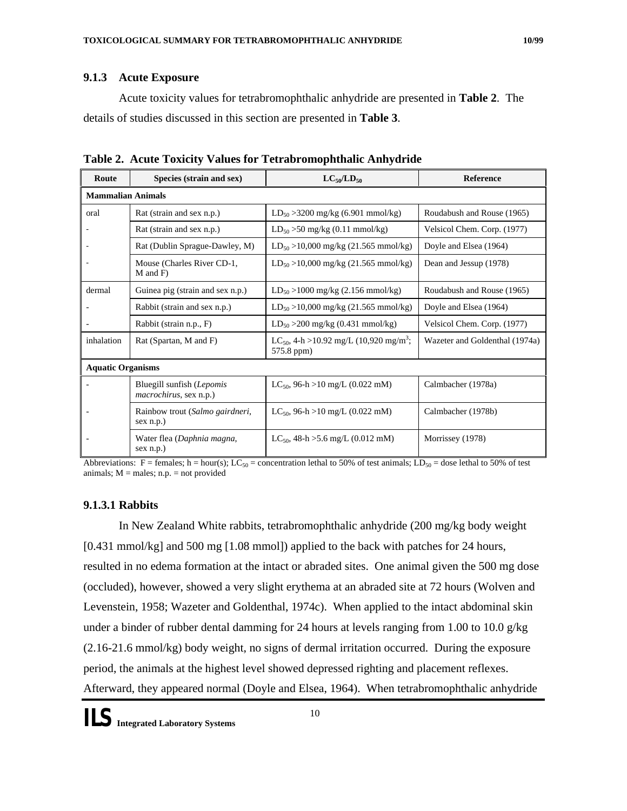## **9.1.3 Acute Exposure**

Acute toxicity values for tetrabromophthalic anhydride are presented in **Table 2**. The details of studies discussed in this section are presented in **Table 3**.

| Route                    | Species (strain and sex)                                    | $LC_{50}/LD_{50}$                                                             | <b>Reference</b>               |  |
|--------------------------|-------------------------------------------------------------|-------------------------------------------------------------------------------|--------------------------------|--|
| <b>Mammalian Animals</b> |                                                             |                                                                               |                                |  |
| oral                     | Rat (strain and sex n.p.)                                   | $LD_{50} > 3200$ mg/kg (6.901 mmol/kg)                                        | Roudabush and Rouse (1965)     |  |
|                          | Rat (strain and sex n.p.)                                   | $LD_{50} > 50$ mg/kg (0.11 mmol/kg)                                           | Velsicol Chem. Corp. (1977)    |  |
|                          | Rat (Dublin Sprague-Dawley, M)                              | $LD_{50} > 10,000$ mg/kg (21.565 mmol/kg)                                     | Doyle and Elsea (1964)         |  |
|                          | Mouse (Charles River CD-1,<br>M and F)                      | $LD_{50} > 10,000$ mg/kg (21.565 mmol/kg)                                     | Dean and Jessup (1978)         |  |
| dermal                   | Guinea pig (strain and sex n.p.)                            | $LD_{50} > 1000$ mg/kg (2.156 mmol/kg)                                        | Roudabush and Rouse (1965)     |  |
|                          | Rabbit (strain and sex n.p.)                                | $LD_{50} > 10,000$ mg/kg (21.565 mmol/kg)                                     | Doyle and Elsea (1964)         |  |
|                          | Rabbit (strain n.p., F)                                     | $LD_{50} > 200$ mg/kg (0.431 mmol/kg)                                         | Velsicol Chem. Corp. (1977)    |  |
| inhalation               | Rat (Spartan, M and F)                                      | LC <sub>50</sub> , 4-h > 10.92 mg/L (10,920 mg/m <sup>3</sup> ;<br>575.8 ppm) | Wazeter and Goldenthal (1974a) |  |
| <b>Aquatic Organisms</b> |                                                             |                                                                               |                                |  |
|                          | Bluegill sunfish (Lepomis<br><i>macrochirus</i> , sex n.p.) | LC <sub>50</sub> , 96-h > 10 mg/L (0.022 mM)                                  | Calmbacher (1978a)             |  |
|                          | Rainbow trout (Salmo gairdneri,<br>sex n.p.)                | $LC_{50}$ , 96-h > 10 mg/L (0.022 mM)                                         | Calmbacher (1978b)             |  |
|                          | Water flea (Daphnia magna,<br>sex n.p.)                     | $LC_{50}$ , 48-h >5.6 mg/L (0.012 mM)                                         | Morrissey (1978)               |  |

**Table 2. Acute Toxicity Values for Tetrabromophthalic Anhydride** 

Abbreviations: F = females; h = hour(s); LC<sub>50</sub> = concentration lethal to 50% of test animals; LD<sub>50</sub> = dose lethal to 50% of test animals;  $M =$  males;  $n.p. =$  not provided

## **9.1.3.1 Rabbits**

In New Zealand White rabbits, tetrabromophthalic anhydride (200 mg/kg body weight [0.431 mmol/kg] and 500 mg [1.08 mmol]) applied to the back with patches for 24 hours, resulted in no edema formation at the intact or abraded sites. One animal given the 500 mg dose (occluded), however, showed a very slight erythema at an abraded site at 72 hours (Wolven and Levenstein, 1958; Wazeter and Goldenthal, 1974c). When applied to the intact abdominal skin under a binder of rubber dental damming for 24 hours at levels ranging from 1.00 to 10.0  $g/kg$ (2.16-21.6 mmol/kg) body weight, no signs of dermal irritation occurred. During the exposure period, the animals at the highest level showed depressed righting and placement reflexes. Afterward, they appeared normal (Doyle and Elsea, 1964). When tetrabromophthalic anhydride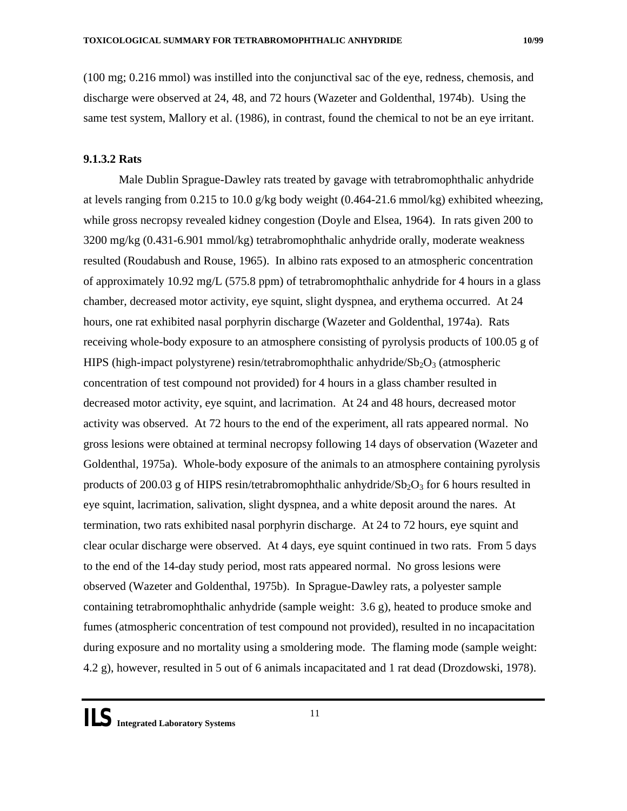<span id="page-11-0"></span>(100 mg; 0.216 mmol) was instilled into the conjunctival sac of the eye, redness, chemosis, and discharge were observed at 24, 48, and 72 hours (Wazeter and Goldenthal, 1974b). Using the same test system, Mallory et al. (1986), in contrast, found the chemical to not be an eye irritant.

## **9.1.3.2 Rats**

Male Dublin Sprague-Dawley rats treated by gavage with tetrabromophthalic anhydride at levels ranging from 0.215 to 10.0 g/kg body weight  $(0.464{\text -}21.6 \text{ mmol/kg})$  exhibited wheezing, while gross necropsy revealed kidney congestion (Doyle and Elsea, 1964). In rats given 200 to 3200 mg/kg (0.431-6.901 mmol/kg) tetrabromophthalic anhydride orally, moderate weakness resulted (Roudabush and Rouse, 1965). In albino rats exposed to an atmospheric concentration of approximately 10.92 mg/L (575.8 ppm) of tetrabromophthalic anhydride for 4 hours in a glass chamber, decreased motor activity, eye squint, slight dyspnea, and erythema occurred. At 24 hours, one rat exhibited nasal porphyrin discharge (Wazeter and Goldenthal, 1974a). Rats receiving whole-body exposure to an atmosphere consisting of pyrolysis products of 100.05 g of HIPS (high-impact polystyrene) resin/tetrabromophthalic anhydride/ $Sb<sub>2</sub>O<sub>3</sub>$  (atmospheric concentration of test compound not provided) for 4 hours in a glass chamber resulted in decreased motor activity, eye squint, and lacrimation. At 24 and 48 hours, decreased motor activity was observed. At 72 hours to the end of the experiment, all rats appeared normal. No gross lesions were obtained at terminal necropsy following 14 days of observation (Wazeter and Goldenthal, 1975a). Whole-body exposure of the animals to an atmosphere containing pyrolysis products of 200.03 g of HIPS resin/tetrabromophthalic anhydride/ $Sb_2O_3$  for 6 hours resulted in eye squint, lacrimation, salivation, slight dyspnea, and a white deposit around the nares. At termination, two rats exhibited nasal porphyrin discharge. At 24 to 72 hours, eye squint and clear ocular discharge were observed. At 4 days, eye squint continued in two rats. From 5 days to the end of the 14-day study period, most rats appeared normal. No gross lesions were observed (Wazeter and Goldenthal, 1975b). In Sprague-Dawley rats, a polyester sample containing tetrabromophthalic anhydride (sample weight: 3.6 g), heated to produce smoke and fumes (atmospheric concentration of test compound not provided), resulted in no incapacitation during exposure and no mortality using a smoldering mode. The flaming mode (sample weight: 4.2 g), however, resulted in 5 out of 6 animals incapacitated and 1 rat dead (Drozdowski, 1978).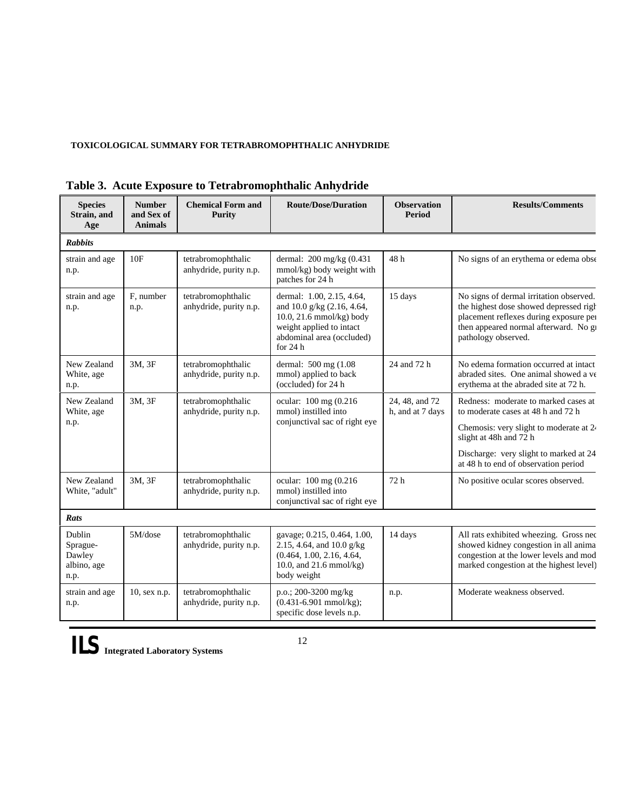### **TOXICOLOGICAL SUMMARY FOR TETRABROMOPHTHALIC ANHYDRIDE**

| <b>Species</b><br>Strain, and<br>Age                | <b>Number</b><br>and Sex of<br><b>Animals</b> | <b>Chemical Form and</b><br><b>Purity</b>    | <b>Route/Dose/Duration</b>                                                                                                                                | <b>Observation</b><br><b>Period</b> | <b>Results/Comments</b>                                                                                                                                                                                                          |
|-----------------------------------------------------|-----------------------------------------------|----------------------------------------------|-----------------------------------------------------------------------------------------------------------------------------------------------------------|-------------------------------------|----------------------------------------------------------------------------------------------------------------------------------------------------------------------------------------------------------------------------------|
| <b>Rabbits</b>                                      |                                               |                                              |                                                                                                                                                           |                                     |                                                                                                                                                                                                                                  |
| strain and age<br>n.p.                              | 10F                                           | tetrabromophthalic<br>anhydride, purity n.p. | dermal: 200 mg/kg (0.431<br>mmol/kg) body weight with<br>patches for 24 h                                                                                 | 48h                                 | No signs of an erythema or edema obse                                                                                                                                                                                            |
| strain and age<br>n.p.                              | F. number<br>n.p.                             | tetrabromophthalic<br>anhydride, purity n.p. | dermal: 1.00, 2.15, 4.64,<br>and 10.0 g/kg (2.16, 4.64,<br>10.0, 21.6 mmol/kg) body<br>weight applied to intact<br>abdominal area (occluded)<br>for $24h$ | 15 days                             | No signs of dermal irritation observed.<br>the highest dose showed depressed righ<br>placement reflexes during exposure per<br>then appeared normal afterward. No gi<br>pathology observed.                                      |
| New Zealand<br>White, age<br>n.p.                   | 3M, 3F                                        | tetrabromophthalic<br>anhydride, purity n.p. | dermal: 500 mg (1.08)<br>mmol) applied to back<br>(occluded) for 24 h                                                                                     | 24 and 72 h                         | No edema formation occurred at intact<br>abraded sites. One animal showed a ve<br>erythema at the abraded site at 72 h.                                                                                                          |
| New Zealand<br>White, age<br>n.p.                   | 3M, 3F                                        | tetrabromophthalic<br>anhydride, purity n.p. | ocular: 100 mg (0.216<br>mmol) instilled into<br>conjunctival sac of right eye                                                                            | 24, 48, and 72<br>h, and at 7 days  | Redness: moderate to marked cases at<br>to moderate cases at 48 h and 72 h<br>Chemosis: very slight to moderate at 2<br>slight at 48h and 72 h<br>Discharge: very slight to marked at 24<br>at 48 h to end of observation period |
| New Zealand<br>White, "adult"                       | 3M, 3F                                        | tetrabromophthalic<br>anhydride, purity n.p. | ocular: 100 mg (0.216)<br>mmol) instilled into<br>conjunctival sac of right eye                                                                           | 72 h                                | No positive ocular scores observed.                                                                                                                                                                                              |
| Rats                                                |                                               |                                              |                                                                                                                                                           |                                     |                                                                                                                                                                                                                                  |
| Dublin<br>Sprague-<br>Dawley<br>albino, age<br>n.p. | 5M/dose                                       | tetrabromophthalic<br>anhydride, purity n.p. | gavage; 0.215, 0.464, 1.00,<br>2.15, 4.64, and 10.0 g/kg<br>(0.464, 1.00, 2.16, 4.64,<br>10.0, and $21.6$ mmol/kg)<br>body weight                         | 14 days                             | All rats exhibited wheezing. Gross nec<br>showed kidney congestion in all anima<br>congestion at the lower levels and mod<br>marked congestion at the highest level)                                                             |
| strain and age<br>n.p.                              | 10, sex n.p.                                  | tetrabromophthalic<br>anhydride, purity n.p. | p.o.; 200-3200 mg/kg<br>$(0.431 - 6.901$ mmol/kg);<br>specific dose levels n.p.                                                                           | n.p.                                | Moderate weakness observed.                                                                                                                                                                                                      |

## **Table 3. Acute Exposure to Tetrabromophthalic Anhydride**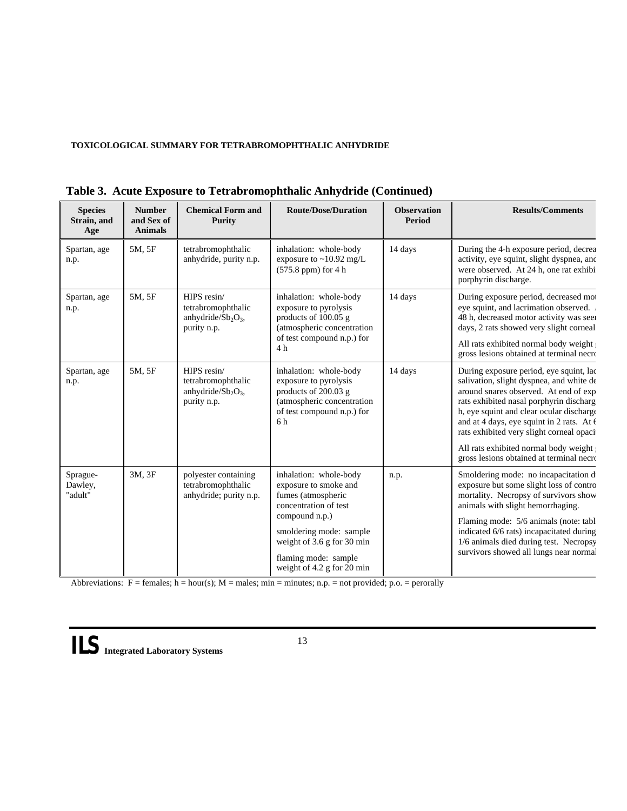#### **TOXICOLOGICAL SUMMARY FOR TETRABROMOPHTHALIC ANHYDRIDE**

| <b>Species</b><br>Strain, and<br>Age | <b>Number</b><br>and Sex of<br><b>Animals</b> | <b>Chemical Form and</b><br><b>Purity</b>                                                      | <b>Route/Dose/Duration</b>                                                                                                                                                                                                      | <b>Observation</b><br>Period | <b>Results/Comments</b>                                                                                                                                                                                                                                                                                                                                                             |
|--------------------------------------|-----------------------------------------------|------------------------------------------------------------------------------------------------|---------------------------------------------------------------------------------------------------------------------------------------------------------------------------------------------------------------------------------|------------------------------|-------------------------------------------------------------------------------------------------------------------------------------------------------------------------------------------------------------------------------------------------------------------------------------------------------------------------------------------------------------------------------------|
| Spartan, age<br>n.p.                 | 5M, 5F                                        | tetrabromophthalic<br>anhydride, purity n.p.                                                   | inhalation: whole-body<br>exposure to $\sim$ 10.92 mg/L<br>$(575.8$ ppm) for 4 h                                                                                                                                                | 14 days                      | During the 4-h exposure period, decrea<br>activity, eye squint, slight dyspnea, and<br>were observed. At 24 h, one rat exhibi<br>porphyrin discharge.                                                                                                                                                                                                                               |
| Spartan, age<br>n.p.                 | 5M, 5F                                        | HIPS resin/<br>tetrabromophthalic<br>anhydride/Sb <sub>2</sub> O <sub>3</sub> ,<br>purity n.p. | inhalation: whole-body<br>exposure to pyrolysis<br>products of 100.05 g<br>(atmospheric concentration<br>of test compound n.p.) for<br>4h                                                                                       | 14 days                      | During exposure period, decreased mot<br>eye squint, and lacrimation observed.<br>48 h, decreased motor activity was seen<br>days, 2 rats showed very slight corneal<br>All rats exhibited normal body weight<br>gross lesions obtained at terminal necro                                                                                                                           |
| Spartan, age<br>n.p.                 | 5M, 5F                                        | HIPS resin/<br>tetrabromophthalic<br>anhydride/ $Sb_2O_3$ ,<br>purity n.p.                     | inhalation: whole-body<br>exposure to pyrolysis<br>products of 200.03 g<br>(atmospheric concentration<br>of test compound n.p.) for<br>6 h                                                                                      | 14 days                      | During exposure period, eye squint, lac<br>salivation, slight dyspnea, and white de<br>around snares observed. At end of exp<br>rats exhibited nasal porphyrin discharge<br>h, eye squint and clear ocular discharge<br>and at 4 days, eye squint in 2 rats. At 6<br>rats exhibited very slight corneal opaci<br>All rats exhibited normal body weight                              |
| Sprague-<br>Dawley,<br>"adult"       | 3M, 3F                                        | polyester containing<br>tetrabromophthalic<br>anhydride; purity n.p.                           | inhalation: whole-body<br>exposure to smoke and<br>fumes (atmospheric<br>concentration of test<br>compound n.p.)<br>smoldering mode: sample<br>weight of 3.6 g for 30 min<br>flaming mode: sample<br>weight of 4.2 g for 20 min | n.p.                         | gross lesions obtained at terminal necro<br>Smoldering mode: no incapacitation di<br>exposure but some slight loss of contro<br>mortality. Necropsy of survivors show<br>animals with slight hemorrhaging.<br>Flaming mode: 5/6 animals (note: tabl<br>indicated 6/6 rats) incapacitated during<br>1/6 animals died during test. Necropsy<br>survivors showed all lungs near normal |

| Table 3. Acute Exposure to Tetrabromophthalic Anhydride (Continued) |
|---------------------------------------------------------------------|
|---------------------------------------------------------------------|

Abbreviations:  $F =$  females;  $h =$  hour(s);  $M =$  males;  $min =$  minutes; n.p. = not provided; p.o. = perorally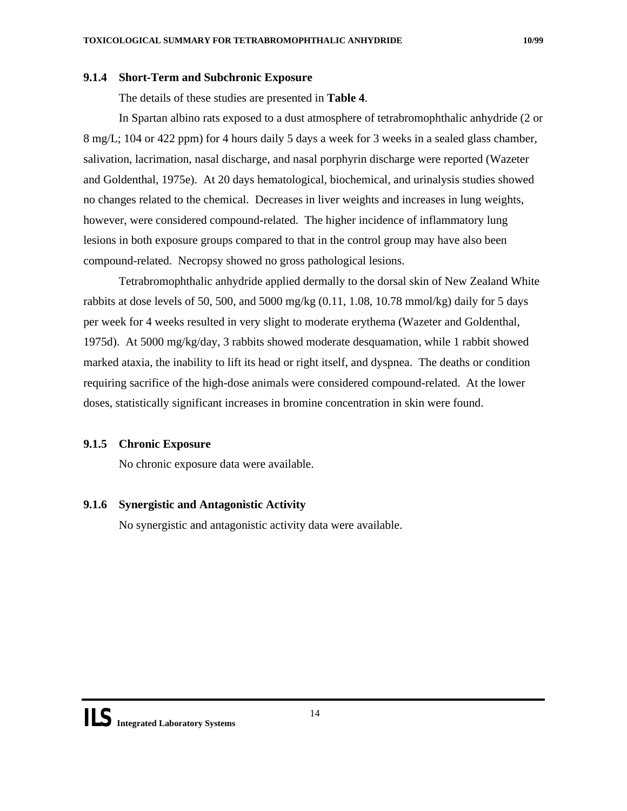#### <span id="page-14-0"></span>**9.1.4 Short-Term and Subchronic Exposure**

The details of these studies are presented in **Table 4**.

In Spartan albino rats exposed to a dust atmosphere of tetrabromophthalic anhydride (2 or 8 mg/L; 104 or 422 ppm) for 4 hours daily 5 days a week for 3 weeks in a sealed glass chamber, salivation, lacrimation, nasal discharge, and nasal porphyrin discharge were reported (Wazeter and Goldenthal, 1975e). At 20 days hematological, biochemical, and urinalysis studies showed no changes related to the chemical. Decreases in liver weights and increases in lung weights, however, were considered compound-related. The higher incidence of inflammatory lung lesions in both exposure groups compared to that in the control group may have also been compound-related. Necropsy showed no gross pathological lesions.

Tetrabromophthalic anhydride applied dermally to the dorsal skin of New Zealand White rabbits at dose levels of 50, 500, and 5000 mg/kg  $(0.11, 1.08, 10.78 \text{ mmol/kg})$  daily for 5 days per week for 4 weeks resulted in very slight to moderate erythema (Wazeter and Goldenthal, 1975d). At 5000 mg/kg/day, 3 rabbits showed moderate desquamation, while 1 rabbit showed marked ataxia, the inability to lift its head or right itself, and dyspnea. The deaths or condition requiring sacrifice of the high-dose animals were considered compound-related. At the lower doses, statistically significant increases in bromine concentration in skin were found.

## **9.1.5 Chronic Exposure**

No chronic exposure data were available.

#### **9.1.6 Synergistic and Antagonistic Activity**

No synergistic and antagonistic activity data were available.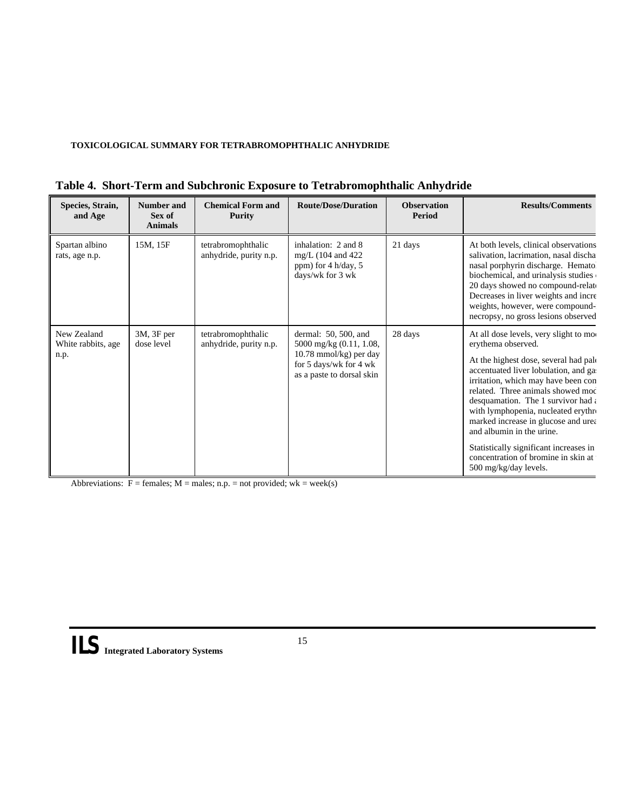#### **TOXICOLOGICAL SUMMARY FOR TETRABROMOPHTHALIC ANHYDRIDE**

| Species, Strain,<br>and Age                | Number and<br>Sex of<br><b>Animals</b> | <b>Chemical Form and</b><br><b>Purity</b>    | <b>Route/Dose/Duration</b>                                                                                                            | <b>Observation</b><br>Period | <b>Results/Comments</b>                                                                                                                                                                                                                                                                                                                                                                                                                                                                      |
|--------------------------------------------|----------------------------------------|----------------------------------------------|---------------------------------------------------------------------------------------------------------------------------------------|------------------------------|----------------------------------------------------------------------------------------------------------------------------------------------------------------------------------------------------------------------------------------------------------------------------------------------------------------------------------------------------------------------------------------------------------------------------------------------------------------------------------------------|
| Spartan albino<br>rats, age n.p.           | 15M, 15F                               | tetrabromophthalic<br>anhydride, purity n.p. | inhalation: 2 and 8<br>$mg/L$ (104 and 422)<br>ppm) for $4 h/day, 5$<br>days/wk for 3 wk                                              | 21 days                      | At both levels, clinical observations<br>salivation, lacrimation, nasal discha<br>nasal porphyrin discharge. Hematol<br>biochemical, and urinalysis studies<br>20 days showed no compound-relate<br>Decreases in liver weights and incre<br>weights, however, were compound-<br>necropsy, no gross lesions observed                                                                                                                                                                          |
| New Zealand<br>White rabbits, age.<br>n.p. | $3M$ , $3F$ per<br>dose level          | tetrabromophthalic<br>anhydride, purity n.p. | dermal: $50, 500$ , and<br>5000 mg/kg (0.11, 1.08,<br>$10.78$ mmol/kg) per day<br>for 5 days/wk for 4 wk<br>as a paste to dorsal skin | 28 days                      | At all dose levels, very slight to mo<br>erythema observed.<br>At the highest dose, several had pale<br>accentuated liver lobulation, and ga<br>irritation, which may have been con<br>related. Three animals showed mod<br>desquamation. The 1 survivor had $\epsilon$<br>with lymphopenia, nucleated erythro<br>marked increase in glucose and urea<br>and albumin in the urine.<br>Statistically significant increases in<br>concentration of bromine in skin at<br>500 mg/kg/day levels. |

|  |  | Table 4. Short-Term and Subchronic Exposure to Tetrabromophthalic Anhydride |
|--|--|-----------------------------------------------------------------------------|
|  |  |                                                                             |

Abbreviations:  $F =$  females;  $M =$  males; n.p. = not provided;  $wk =$  week(s)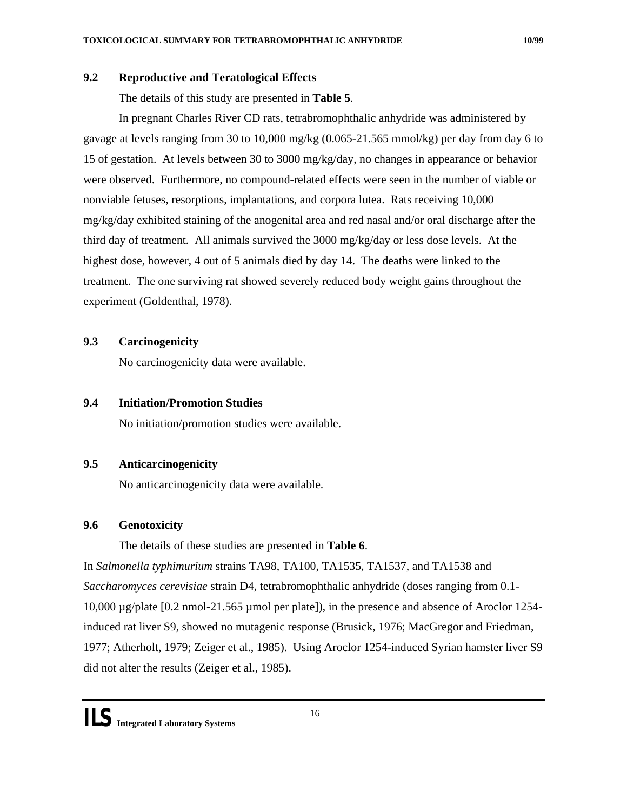## <span id="page-16-0"></span>**9.2 Reproductive and Teratological Effects**

## The details of this study are presented in **Table 5**.

In pregnant Charles River CD rats, tetrabromophthalic anhydride was administered by gavage at levels ranging from 30 to 10,000 mg/kg (0.065-21.565 mmol/kg) per day from day 6 to 15 of gestation. At levels between 30 to 3000 mg/kg/day, no changes in appearance or behavior were observed. Furthermore, no compound-related effects were seen in the number of viable or nonviable fetuses, resorptions, implantations, and corpora lutea. Rats receiving 10,000 mg/kg/day exhibited staining of the anogenital area and red nasal and/or oral discharge after the third day of treatment. All animals survived the 3000 mg/kg/day or less dose levels. At the highest dose, however, 4 out of 5 animals died by day 14. The deaths were linked to the treatment. The one surviving rat showed severely reduced body weight gains throughout the experiment (Goldenthal, 1978).

## **9.3 Carcinogenicity**

No carcinogenicity data were available.

## **9.4 Initiation/Promotion Studies**

No initiation/promotion studies were available.

## **9.5 Anticarcinogenicity**

No anticarcinogenicity data were available.

## **9.6 Genotoxicity**

The details of these studies are presented in **Table 6**.

In *Salmonella typhimurium* strains TA98, TA100, TA1535, TA1537, and TA1538 and *Saccharomyces cerevisiae* strain D4, tetrabromophthalic anhydride (doses ranging from 0.1- 10,000 µg/plate [0.2 nmol-21.565 µmol per plate]), in the presence and absence of Aroclor 1254 induced rat liver S9, showed no mutagenic response (Brusick, 1976; MacGregor and Friedman, 1977; Atherholt, 1979; Zeiger et al., 1985). Using Aroclor 1254-induced Syrian hamster liver S9 did not alter the results (Zeiger et al., 1985).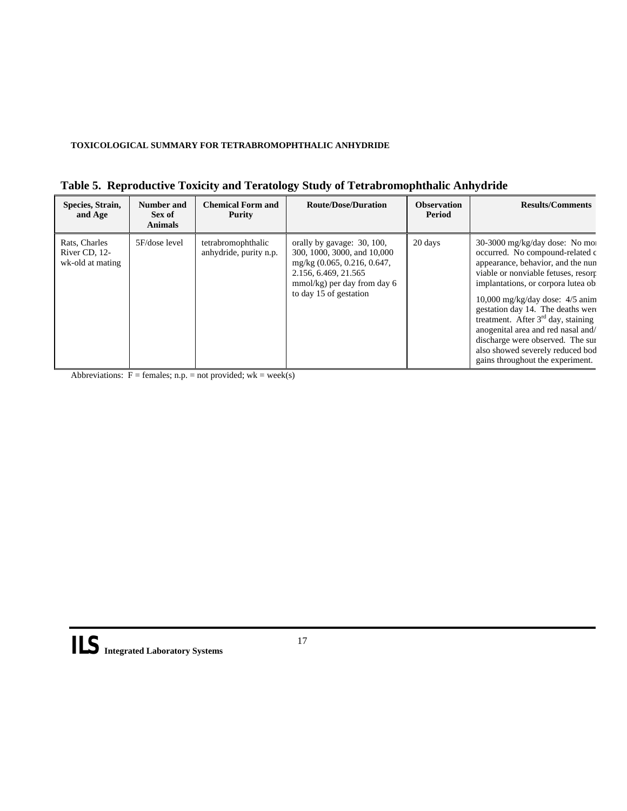#### **TOXICOLOGICAL SUMMARY FOR TETRABROMOPHTHALIC ANHYDRIDE**

| Species, Strain,<br>and Age                        | <b>Number and</b><br>Sex of<br><b>Animals</b> | <b>Chemical Form and</b><br>Purity           | <b>Route/Dose/Duration</b>                                                                                                                                                     | <b>Observation</b><br>Period | <b>Results/Comments</b>                                                                                                                                                                                                                                                                                                                                                                                                                                     |
|----------------------------------------------------|-----------------------------------------------|----------------------------------------------|--------------------------------------------------------------------------------------------------------------------------------------------------------------------------------|------------------------------|-------------------------------------------------------------------------------------------------------------------------------------------------------------------------------------------------------------------------------------------------------------------------------------------------------------------------------------------------------------------------------------------------------------------------------------------------------------|
| Rats, Charles<br>River CD, 12-<br>wk-old at mating | 5F/dose level                                 | tetrabromophthalic<br>anhydride, purity n.p. | orally by gavage: 30, 100,<br>300, 1000, 3000, and 10,000<br>mg/kg $(0.065, 0.216, 0.647,$<br>2.156, 6.469, 21.565<br>$mmol/kg$ ) per day from day 6<br>to day 15 of gestation | 20 days                      | $30-3000$ mg/kg/day dose: No moi<br>occurred. No compound-related c<br>appearance, behavior, and the nun<br>viable or nonviable fetuses, resorr<br>implantations, or corpora lutea ob<br>$10,000$ mg/kg/day dose: $4/5$ anim<br>gestation day 14. The deaths were<br>treatment. After $3rd$ day, staining<br>anogenital area and red nasal and/<br>discharge were observed. The sur<br>also showed severely reduced bod<br>gains throughout the experiment. |

|  |  | Table 5. Reproductive Toxicity and Teratology Study of Tetrabromophthalic Anhydride |  |
|--|--|-------------------------------------------------------------------------------------|--|
|  |  |                                                                                     |  |

Abbreviations:  $F =$  females; n.p. = not provided; wk = week(s)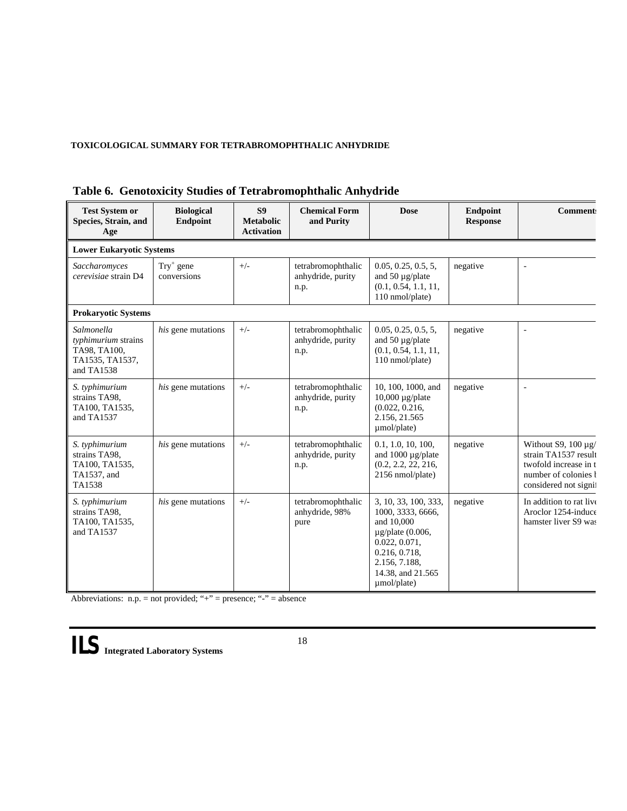### **TOXICOLOGICAL SUMMARY FOR TETRABROMOPHTHALIC ANHYDRIDE**

| <b>Test System or</b><br>Species, Strain, and<br>Age                               | <b>Biological</b><br><b>Endpoint</b> | S <sub>9</sub><br><b>Metabolic</b><br><b>Activation</b> | <b>Chemical Form</b><br>and Purity              | <b>Dose</b>                                                                                                                                                             | <b>Endpoint</b><br><b>Response</b> | <b>Comment:</b>                                                                                                             |
|------------------------------------------------------------------------------------|--------------------------------------|---------------------------------------------------------|-------------------------------------------------|-------------------------------------------------------------------------------------------------------------------------------------------------------------------------|------------------------------------|-----------------------------------------------------------------------------------------------------------------------------|
| <b>Lower Eukaryotic Systems</b>                                                    |                                      |                                                         |                                                 |                                                                                                                                                                         |                                    |                                                                                                                             |
| Saccharomyces<br>cerevisiae strain D4                                              | $Try+$ gene<br>conversions           | $+/-$                                                   | tetrabromophthalic<br>anhydride, purity<br>n.p. | 0.05, 0.25, 0.5, 5,<br>and 50 $\mu$ g/plate<br>(0.1, 0.54, 1.1, 11,<br>110 nmol/plate)                                                                                  | negative                           | $\overline{a}$                                                                                                              |
| <b>Prokaryotic Systems</b>                                                         |                                      |                                                         |                                                 |                                                                                                                                                                         |                                    |                                                                                                                             |
| Salmonella<br>typhimurium strains<br>TA98, TA100,<br>TA1535, TA1537,<br>and TA1538 | his gene mutations                   | $+/-$                                                   | tetrabromophthalic<br>anhydride, purity<br>n.p. | 0.05, 0.25, 0.5, 5,<br>and 50 $\mu$ g/plate<br>(0.1, 0.54, 1.1, 11,<br>110 nmol/plate)                                                                                  | negative                           | ä,                                                                                                                          |
| S. typhimurium<br>strains TA98,<br>TA100, TA1535,<br>and TA1537                    | his gene mutations                   | $+/-$                                                   | tetrabromophthalic<br>anhydride, purity<br>n.p. | 10, 100, 1000, and<br>$10,000 \mu g$ plate<br>(0.022, 0.216,<br>2.156, 21.565<br>umol/plate)                                                                            | negative                           |                                                                                                                             |
| S. typhimurium<br>strains TA98,<br>TA100, TA1535,<br>TA1537, and<br>TA1538         | <i>his</i> gene mutations            | $+/-$                                                   | tetrabromophthalic<br>anhydride, purity<br>n.p. | 0.1, 1.0, 10, 100,<br>and $1000 \mu g$ /plate<br>(0.2, 2.2, 22, 216,<br>2156 nmol/plate)                                                                                | negative                           | Without S9, $100 \mu g$ /<br>strain TA1537 result<br>twofold increase in t<br>number of colonies b<br>considered not signif |
| S. typhimurium<br>strains TA98,<br>TA100, TA1535,<br>and TA1537                    | his gene mutations                   | $+/-$                                                   | tetrabromophthalic<br>anhydride, 98%<br>pure    | 3, 10, 33, 100, 333,<br>1000, 3333, 6666,<br>and 10,000<br>$\mu$ g/plate (0.006,<br>0.022, 0.071,<br>0.216, 0.718,<br>2.156, 7.188,<br>14.38, and 21.565<br>umol/plate) | negative                           | In addition to rat live<br>Aroclor 1254-induce<br>hamster liver S9 was                                                      |

## **Table 6. Genotoxicity Studies of Tetrabromophthalic Anhydride**

Abbreviations: n.p. = not provided; "+" = presence; "-" = absence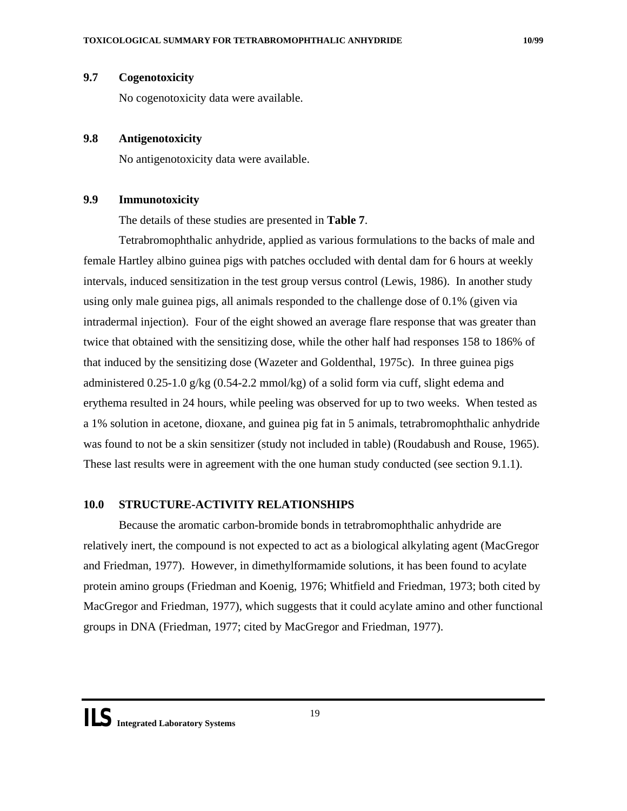## <span id="page-19-0"></span>**9.7 Cogenotoxicity**

No cogenotoxicity data were available.

### **9.8 Antigenotoxicity**

No antigenotoxicity data were available.

## **9.9 Immunotoxicity**

The details of these studies are presented in **Table 7**.

Tetrabromophthalic anhydride, applied as various formulations to the backs of male and female Hartley albino guinea pigs with patches occluded with dental dam for 6 hours at weekly intervals, induced sensitization in the test group versus control (Lewis, 1986). In another study using only male guinea pigs, all animals responded to the challenge dose of 0.1% (given via intradermal injection). Four of the eight showed an average flare response that was greater than twice that obtained with the sensitizing dose, while the other half had responses 158 to 186% of that induced by the sensitizing dose (Wazeter and Goldenthal, 1975c). In three guinea pigs administered  $0.25$ -1.0 g/kg  $(0.54$ -2.2 mmol/kg) of a solid form via cuff, slight edema and erythema resulted in 24 hours, while peeling was observed for up to two weeks. When tested as a 1% solution in acetone, dioxane, and guinea pig fat in 5 animals, tetrabromophthalic anhydride was found to not be a skin sensitizer (study not included in table) (Roudabush and Rouse, 1965). These last results were in agreement with the one human study conducted (see section 9.1.1).

## **10.0 STRUCTURE-ACTIVITY RELATIONSHIPS**

Because the aromatic carbon-bromide bonds in tetrabromophthalic anhydride are relatively inert, the compound is not expected to act as a biological alkylating agent (MacGregor and Friedman, 1977). However, in dimethylformamide solutions, it has been found to acylate protein amino groups (Friedman and Koenig, 1976; Whitfield and Friedman, 1973; both cited by MacGregor and Friedman, 1977), which suggests that it could acylate amino and other functional groups in DNA (Friedman, 1977; cited by MacGregor and Friedman, 1977).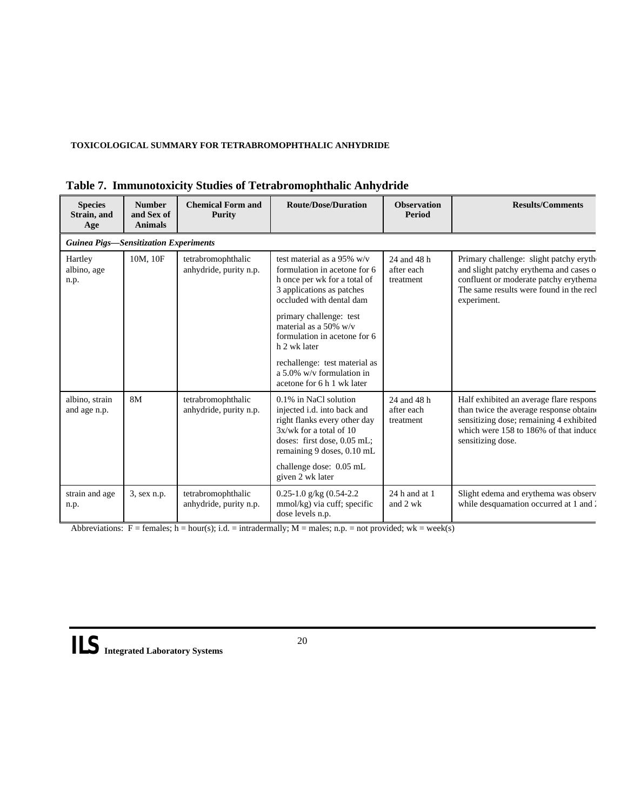## **TOXICOLOGICAL SUMMARY FOR TETRABROMOPHTHALIC ANHYDRIDE**

| <b>Species</b><br>Strain, and<br>Age | <b>Number</b><br>and Sex of<br><b>Animals</b> | <b>Chemical Form and</b><br><b>Purity</b>    | <b>Route/Dose/Duration</b>                                                                                                                                                       | <b>Observation</b><br>Period           | <b>Results/Comments</b>                                                                                                                                                                     |  |  |
|--------------------------------------|-----------------------------------------------|----------------------------------------------|----------------------------------------------------------------------------------------------------------------------------------------------------------------------------------|----------------------------------------|---------------------------------------------------------------------------------------------------------------------------------------------------------------------------------------------|--|--|
|                                      | <b>Guinea Pigs—Sensitization Experiments</b>  |                                              |                                                                                                                                                                                  |                                        |                                                                                                                                                                                             |  |  |
| Hartley<br>albino, age<br>n.p.       | 10M, 10F                                      | tetrabromophthalic<br>anhydride, purity n.p. | test material as a 95% $w/v$<br>formulation in acetone for 6<br>h once per wk for a total of<br>3 applications as patches<br>occluded with dental dam<br>primary challenge: test | 24 and 48 h<br>after each<br>treatment | Primary challenge: slight patchy eryth-<br>and slight patchy erythema and cases o<br>confluent or moderate patchy erythema<br>The same results were found in the recl<br>experiment.        |  |  |
|                                      |                                               |                                              | material as a 50% $w/v$<br>formulation in acetone for 6<br>h 2 wk later                                                                                                          |                                        |                                                                                                                                                                                             |  |  |
|                                      |                                               |                                              | rechallenge: test material as<br>a 5.0% $w/v$ formulation in<br>acetone for 6 h 1 wk later                                                                                       |                                        |                                                                                                                                                                                             |  |  |
| albino, strain<br>and age n.p.       | 8M                                            | tetrabromophthalic<br>anhydride, purity n.p. | 0.1% in NaCl solution<br>injected i.d. into back and<br>right flanks every other day<br>$3x/wk$ for a total of 10<br>doses: first dose, 0.05 mL;<br>remaining 9 doses, 0.10 mL   | 24 and 48 h<br>after each<br>treatment | Half exhibited an average flare respons<br>than twice the average response obtaine<br>sensitizing dose; remaining 4 exhibited<br>which were 158 to 186% of that induce<br>sensitizing dose. |  |  |
|                                      |                                               |                                              | challenge dose: 0.05 mL<br>given 2 wk later                                                                                                                                      |                                        |                                                                                                                                                                                             |  |  |
| strain and age<br>n.p.               | 3, sex n.p.                                   | tetrabromophthalic<br>anhydride, purity n.p. | $0.25 - 1.0$ g/kg $(0.54 - 2.2)$<br>mmol/kg) via cuff; specific<br>dose levels n.p.                                                                                              | $24$ h and at 1<br>and 2 wk            | Slight edema and erythema was observ<br>while desquamation occurred at 1 and 2                                                                                                              |  |  |

|  |  |  |  | Table 7. Immunotoxicity Studies of Tetrabromophthalic Anhydride |  |
|--|--|--|--|-----------------------------------------------------------------|--|
|--|--|--|--|-----------------------------------------------------------------|--|

Abbreviations:  $F =$  females;  $h =$  hour(s); i.d. = intradermally;  $M =$  males; n.p. = not provided; wk = week(s)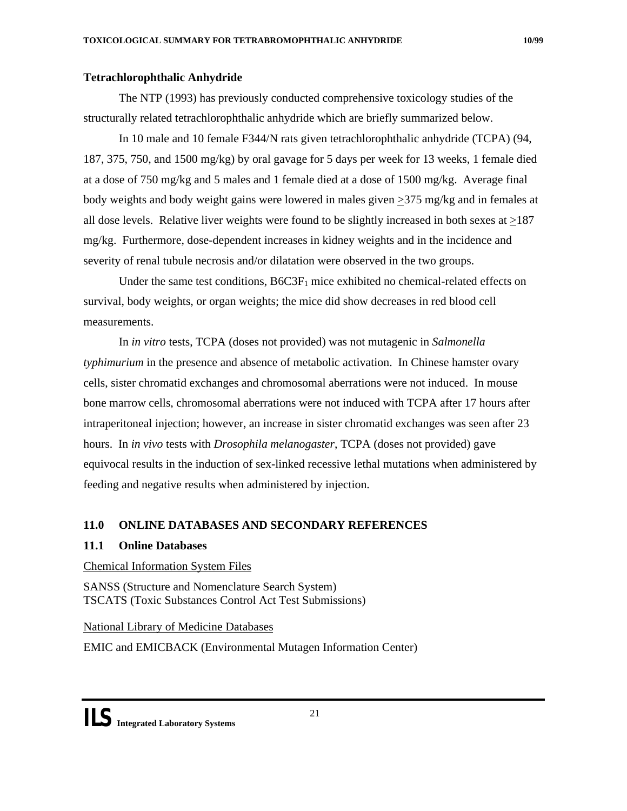## **Tetrachlorophthalic Anhydride**

The NTP (1993) has previously conducted comprehensive toxicology studies of the structurally related tetrachlorophthalic anhydride which are briefly summarized below.

In 10 male and 10 female F344/N rats given tetrachlorophthalic anhydride (TCPA) (94, 187, 375, 750, and 1500 mg/kg) by oral gavage for 5 days per week for 13 weeks, 1 female died at a dose of 750 mg/kg and 5 males and 1 female died at a dose of 1500 mg/kg. Average final body weights and body weight gains were lowered in males given >375 mg/kg and in females at all dose levels. Relative liver weights were found to be slightly increased in both sexes at >187 mg/kg. Furthermore, dose-dependent increases in kidney weights and in the incidence and severity of renal tubule necrosis and/or dilatation were observed in the two groups.

Under the same test conditions,  $B6C3F<sub>1</sub>$  mice exhibited no chemical-related effects on survival, body weights, or organ weights; the mice did show decreases in red blood cell measurements.

In *in vitro* tests, TCPA (doses not provided) was not mutagenic in *Salmonella typhimurium* in the presence and absence of metabolic activation. In Chinese hamster ovary cells, sister chromatid exchanges and chromosomal aberrations were not induced. In mouse bone marrow cells, chromosomal aberrations were not induced with TCPA after 17 hours after intraperitoneal injection; however, an increase in sister chromatid exchanges was seen after 23 hours. In *in vivo* tests with *Drosophila melanogaster*, TCPA (doses not provided) gave equivocal results in the induction of sex-linked recessive lethal mutations when administered by feeding and negative results when administered by injection.

## **11.0 ONLINE DATABASES AND SECONDARY REFERENCES**

## **11.1 Online Databases**

## Chemical Information System Files

SANSS (Structure and Nomenclature Search System) TSCATS (Toxic Substances Control Act Test Submissions)

National Library of Medicine Databases

EMIC and EMICBACK (Environmental Mutagen Information Center)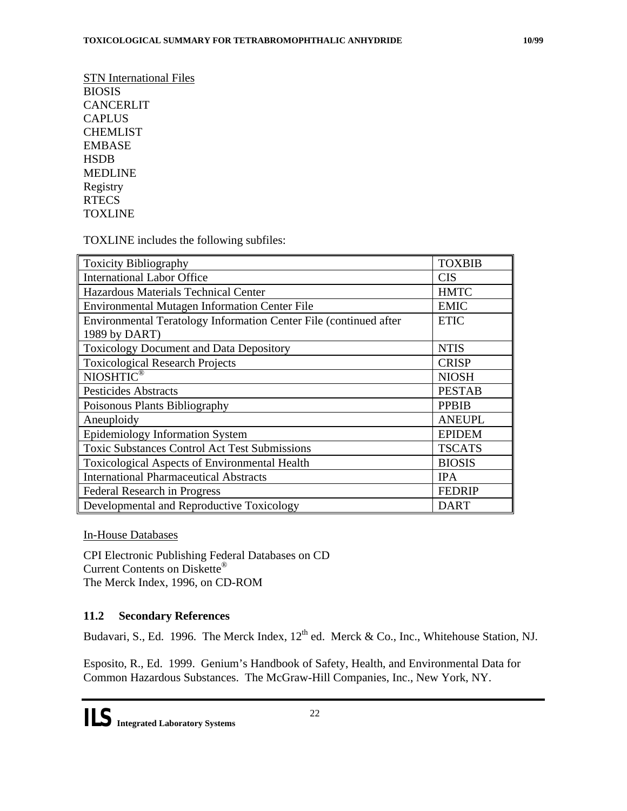STN International Files BIOSIS CANCERLIT CAPLUS CHEMLIST EMBASE **HSDB** MEDLINE Registry **RTECS TOXLINE** 

TOXLINE includes the following subfiles:

| <b>Toxicity Bibliography</b>                                                       | <b>TOXBIB</b> |
|------------------------------------------------------------------------------------|---------------|
| <b>International Labor Office</b>                                                  | <b>CIS</b>    |
| Hazardous Materials Technical Center                                               | <b>HMTC</b>   |
| <b>Environmental Mutagen Information Center File</b>                               | <b>EMIC</b>   |
| Environmental Teratology Information Center File (continued after<br>1989 by DART) | <b>ETIC</b>   |
| <b>Toxicology Document and Data Depository</b>                                     | <b>NTIS</b>   |
| <b>Toxicological Research Projects</b>                                             | <b>CRISP</b>  |
| NIOSHTIC®                                                                          | <b>NIOSH</b>  |
| <b>Pesticides Abstracts</b>                                                        | <b>PESTAB</b> |
| Poisonous Plants Bibliography                                                      | <b>PPBIB</b>  |
| Aneuploidy                                                                         | <b>ANEUPL</b> |
| <b>Epidemiology Information System</b>                                             | <b>EPIDEM</b> |
| <b>Toxic Substances Control Act Test Submissions</b>                               | <b>TSCATS</b> |
| Toxicological Aspects of Environmental Health                                      | <b>BIOSIS</b> |
| <b>International Pharmaceutical Abstracts</b>                                      | <b>IPA</b>    |
| <b>Federal Research in Progress</b>                                                | <b>FEDRIP</b> |
| Developmental and Reproductive Toxicology                                          | <b>DART</b>   |

In-House Databases

CPI Electronic Publishing Federal Databases on CD Current Contents on Diskette® The Merck Index, 1996, on CD-ROM

## **11.2 Secondary References**

Budavari, S., Ed. 1996. The Merck Index, 12<sup>th</sup> ed. Merck & Co., Inc., Whitehouse Station, NJ.

Esposito, R., Ed. 1999. Genium's Handbook of Safety, Health, and Environmental Data for Common Hazardous Substances. The McGraw-Hill Companies, Inc., New York, NY.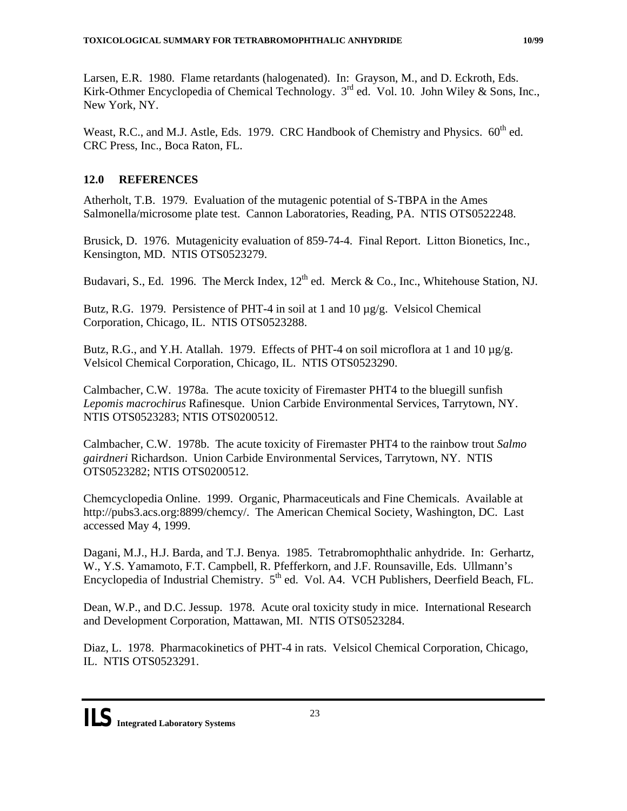<span id="page-23-0"></span>Larsen, E.R. 1980. Flame retardants (halogenated). In: Grayson, M., and D. Eckroth, Eds. Kirk-Othmer Encyclopedia of Chemical Technology.  $3<sup>rd</sup>$  ed. Vol. 10. John Wiley & Sons, Inc., New York, NY.

Weast, R.C., and M.J. Astle, Eds. 1979. CRC Handbook of Chemistry and Physics.  $60^{th}$  ed. CRC Press, Inc., Boca Raton, FL.

## **12.0 REFERENCES**

Atherholt, T.B. 1979. Evaluation of the mutagenic potential of S-TBPA in the Ames Salmonella/microsome plate test. Cannon Laboratories, Reading, PA. NTIS OTS0522248.

Brusick, D. 1976. Mutagenicity evaluation of 859-74-4. Final Report. Litton Bionetics, Inc., Kensington, MD. NTIS OTS0523279.

Budavari, S., Ed. 1996. The Merck Index,  $12^{th}$  ed. Merck & Co., Inc., Whitehouse Station, NJ.

Butz, R.G. 1979. Persistence of PHT-4 in soil at 1 and 10  $\mu$ g/g. Velsicol Chemical Corporation, Chicago, IL. NTIS OTS0523288.

Butz, R.G., and Y.H. Atallah. 1979. Effects of PHT-4 on soil microflora at 1 and 10  $\mu$ g/g. Velsicol Chemical Corporation, Chicago, IL. NTIS OTS0523290.

Calmbacher, C.W. 1978a. The acute toxicity of Firemaster PHT4 to the bluegill sunfish *Lepomis macrochirus* Rafinesque. Union Carbide Environmental Services, Tarrytown, NY. NTIS OTS0523283; NTIS OTS0200512.

Calmbacher, C.W. 1978b. The acute toxicity of Firemaster PHT4 to the rainbow trout *Salmo gairdneri* Richardson. Union Carbide Environmental Services, Tarrytown, NY. NTIS OTS0523282; NTIS OTS0200512.

Chemcyclopedia Online. 1999. Organic, Pharmaceuticals and Fine Chemicals. Available at http://pubs3.acs.org:8899/chemcy/. The American Chemical Society, Washington, DC. Last accessed May 4, 1999.

Dagani, M.J., H.J. Barda, and T.J. Benya. 1985. Tetrabromophthalic anhydride. In: Gerhartz, W., Y.S. Yamamoto, F.T. Campbell, R. Pfefferkorn, and J.F. Rounsaville, Eds. Ullmann's Encyclopedia of Industrial Chemistry. 5<sup>th</sup> ed. Vol. A4. VCH Publishers, Deerfield Beach, FL.

Dean, W.P., and D.C. Jessup. 1978. Acute oral toxicity study in mice. International Research and Development Corporation, Mattawan, MI. NTIS OTS0523284.

Diaz, L. 1978. Pharmacokinetics of PHT-4 in rats. Velsicol Chemical Corporation, Chicago, IL. NTIS OTS0523291.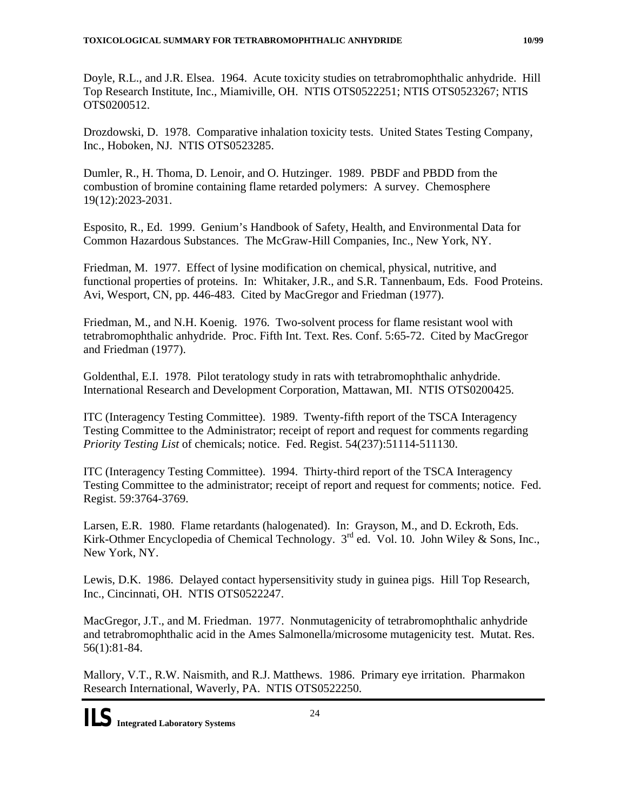<span id="page-24-0"></span>Doyle, R.L., and J.R. Elsea. 1964. Acute toxicity studies on tetrabromophthalic anhydride. Hill Top Research Institute, Inc., Miamiville, OH. NTIS OTS0522251; NTIS OTS0523267; NTIS OTS0200512.

Drozdowski, D. 1978. Comparative inhalation toxicity tests. United States Testing Company, Inc., Hoboken, NJ. NTIS OTS0523285.

Dumler, R., H. Thoma, D. Lenoir, and O. Hutzinger. 1989. PBDF and PBDD from the combustion of bromine containing flame retarded polymers: A survey. Chemosphere 19(12):2023-2031.

Esposito, R., Ed. 1999. Genium's Handbook of Safety, Health, and Environmental Data for Common Hazardous Substances. The McGraw-Hill Companies, Inc., New York, NY.

Friedman, M. 1977. Effect of lysine modification on chemical, physical, nutritive, and functional properties of proteins. In: Whitaker, J.R., and S.R. Tannenbaum, Eds. Food Proteins. Avi, Wesport, CN, pp. 446-483. Cited by MacGregor and Friedman (1977).

Friedman, M., and N.H. Koenig. 1976. Two-solvent process for flame resistant wool with tetrabromophthalic anhydride. Proc. Fifth Int. Text. Res. Conf. 5:65-72. Cited by MacGregor and Friedman (1977).

Goldenthal, E.I. 1978. Pilot teratology study in rats with tetrabromophthalic anhydride. International Research and Development Corporation, Mattawan, MI. NTIS OTS0200425.

ITC (Interagency Testing Committee). 1989. Twenty-fifth report of the TSCA Interagency Testing Committee to the Administrator; receipt of report and request for comments regarding *Priority Testing List* of chemicals; notice. Fed. Regist. 54(237):51114-511130.

ITC (Interagency Testing Committee). 1994. Thirty-third report of the TSCA Interagency Testing Committee to the administrator; receipt of report and request for comments; notice. Fed. Regist. 59:3764-3769.

Larsen, E.R. 1980. Flame retardants (halogenated). In: Grayson, M., and D. Eckroth, Eds. Kirk-Othmer Encyclopedia of Chemical Technology.  $3^{rd}$  ed. Vol. 10. John Wiley & Sons, Inc., New York, NY.

Lewis, D.K. 1986. Delayed contact hypersensitivity study in guinea pigs. Hill Top Research, Inc., Cincinnati, OH. NTIS OTS0522247.

MacGregor, J.T., and M. Friedman. 1977. Nonmutagenicity of tetrabromophthalic anhydride and tetrabromophthalic acid in the Ames Salmonella/microsome mutagenicity test. Mutat. Res. 56(1):81-84.

Mallory, V.T., R.W. Naismith, and R.J. Matthews. 1986. Primary eye irritation. Pharmakon Research International, Waverly, PA. NTIS OTS0522250.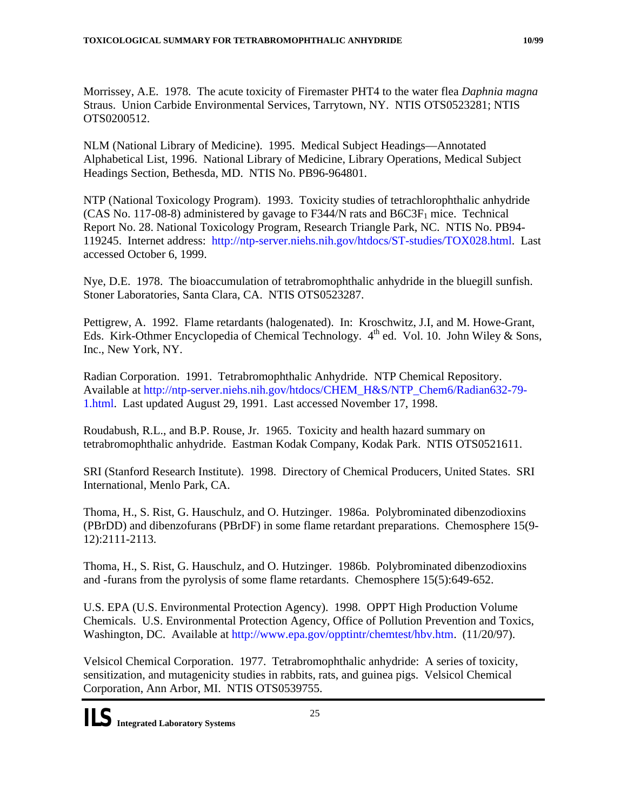Morrissey, A.E. 1978. The acute toxicity of Firemaster PHT4 to the water flea *Daphnia magna*  Straus. Union Carbide Environmental Services, Tarrytown, NY. NTIS OTS0523281; NTIS OTS0200512.

NLM (National Library of Medicine). 1995. Medical Subject Headings—Annotated Alphabetical List, 1996. National Library of Medicine, Library Operations, Medical Subject Headings Section, Bethesda, MD. NTIS No. PB96-964801.

NTP (National Toxicology Program). 1993. Toxicity studies of tetrachlorophthalic anhydride (CAS No. 117-08-8) administered by gavage to F344/N rats and  $B6C3F<sub>1</sub>$  mice. Technical Report No. 28. National Toxicology Program, Research Triangle Park, NC. NTIS No. PB94- 119245. Internet address: http://ntp-server.niehs.nih.gov/htdocs/ST-studies/TOX028.html. Last accessed October 6, 1999.

Nye, D.E. 1978. The bioaccumulation of tetrabromophthalic anhydride in the bluegill sunfish. Stoner Laboratories, Santa Clara, CA. NTIS OTS0523287.

Pettigrew, A. 1992. Flame retardants (halogenated). In: Kroschwitz, J.I, and M. Howe-Grant, Eds. Kirk-Othmer Encyclopedia of Chemical Technology.  $4<sup>th</sup>$  ed. Vol. 10. John Wiley & Sons, Inc., New York, NY.

Radian Corporation. 1991. Tetrabromophthalic Anhydride. NTP Chemical Repository. Available at http://ntp-server.niehs.nih.gov/htdocs/CHEM\_H&S/NTP\_Chem6/Radian632-79- 1.html. Last updated August 29, 1991. Last accessed November 17, 1998.

Roudabush, R.L., and B.P. Rouse, Jr. 1965. Toxicity and health hazard summary on tetrabromophthalic anhydride. Eastman Kodak Company, Kodak Park. NTIS OTS0521611.

SRI (Stanford Research Institute). 1998. Directory of Chemical Producers, United States. SRI International, Menlo Park, CA.

Thoma, H., S. Rist, G. Hauschulz, and O. Hutzinger. 1986a. Polybrominated dibenzodioxins (PBrDD) and dibenzofurans (PBrDF) in some flame retardant preparations. Chemosphere 15(9- 12):2111-2113.

Thoma, H., S. Rist, G. Hauschulz, and O. Hutzinger. 1986b. Polybrominated dibenzodioxins and -furans from the pyrolysis of some flame retardants. Chemosphere 15(5):649-652.

U.S. EPA (U.S. Environmental Protection Agency). 1998. OPPT High Production Volume Chemicals. U.S. Environmental Protection Agency, Office of Pollution Prevention and Toxics, Washington, DC. Available at http://www.epa.gov/opptintr/chemtest/hbv.htm. (11/20/97).

Velsicol Chemical Corporation. 1977. Tetrabromophthalic anhydride: A series of toxicity, sensitization, and mutagenicity studies in rabbits, rats, and guinea pigs. Velsicol Chemical Corporation, Ann Arbor, MI. NTIS OTS0539755.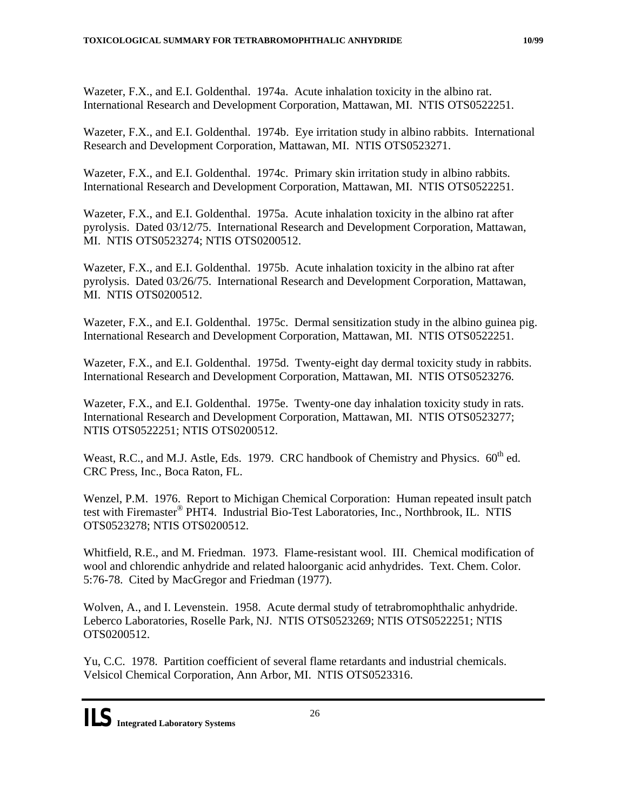Wazeter, F.X., and E.I. Goldenthal. 1974a. Acute inhalation toxicity in the albino rat. International Research and Development Corporation, Mattawan, MI. NTIS OTS0522251.

Wazeter, F.X., and E.I. Goldenthal. 1974b. Eye irritation study in albino rabbits. International Research and Development Corporation, Mattawan, MI. NTIS OTS0523271.

Wazeter, F.X., and E.I. Goldenthal. 1974c. Primary skin irritation study in albino rabbits. International Research and Development Corporation, Mattawan, MI. NTIS OTS0522251.

Wazeter, F.X., and E.I. Goldenthal. 1975a. Acute inhalation toxicity in the albino rat after pyrolysis. Dated 03/12/75. International Research and Development Corporation, Mattawan, MI. NTIS OTS0523274; NTIS OTS0200512.

Wazeter, F.X., and E.I. Goldenthal. 1975b. Acute inhalation toxicity in the albino rat after pyrolysis. Dated 03/26/75. International Research and Development Corporation, Mattawan, MI. NTIS OTS0200512.

Wazeter, F.X., and E.I. Goldenthal. 1975c. Dermal sensitization study in the albino guinea pig. International Research and Development Corporation, Mattawan, MI. NTIS OTS0522251.

Wazeter, F.X., and E.I. Goldenthal. 1975d. Twenty-eight day dermal toxicity study in rabbits. International Research and Development Corporation, Mattawan, MI. NTIS OTS0523276.

Wazeter, F.X., and E.I. Goldenthal. 1975e. Twenty-one day inhalation toxicity study in rats. International Research and Development Corporation, Mattawan, MI. NTIS OTS0523277; NTIS OTS0522251; NTIS OTS0200512.

Weast, R.C., and M.J. Astle, Eds. 1979. CRC handbook of Chemistry and Physics.  $60^{th}$  ed. CRC Press, Inc., Boca Raton, FL.

Wenzel, P.M. 1976. Report to Michigan Chemical Corporation: Human repeated insult patch test with Firemaster® PHT4. Industrial Bio-Test Laboratories, Inc., Northbrook, IL. NTIS OTS0523278; NTIS OTS0200512.

Whitfield, R.E., and M. Friedman. 1973. Flame-resistant wool. III. Chemical modification of wool and chlorendic anhydride and related haloorganic acid anhydrides. Text. Chem. Color. 5:76-78. Cited by MacGregor and Friedman (1977).

Wolven, A., and I. Levenstein. 1958. Acute dermal study of tetrabromophthalic anhydride. Leberco Laboratories, Roselle Park, NJ. NTIS OTS0523269; NTIS OTS0522251; NTIS OTS0200512.

Yu, C.C. 1978. Partition coefficient of several flame retardants and industrial chemicals. Velsicol Chemical Corporation, Ann Arbor, MI. NTIS OTS0523316.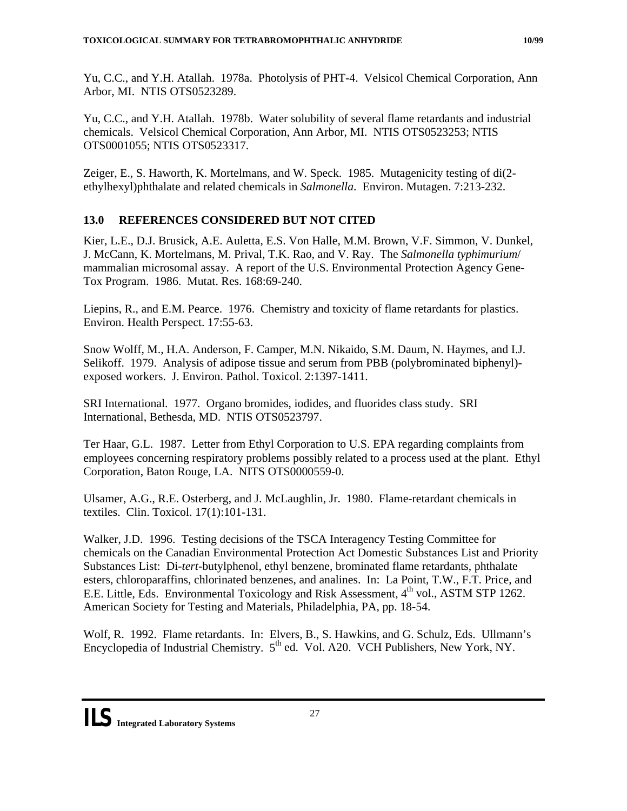Yu, C.C., and Y.H. Atallah. 1978a. Photolysis of PHT-4. Velsicol Chemical Corporation, Ann Arbor, MI. NTIS OTS0523289.

Yu, C.C., and Y.H. Atallah. 1978b. Water solubility of several flame retardants and industrial chemicals. Velsicol Chemical Corporation, Ann Arbor, MI. NTIS OTS0523253; NTIS OTS0001055; NTIS OTS0523317.

Zeiger, E., S. Haworth, K. Mortelmans, and W. Speck. 1985. Mutagenicity testing of di(2 ethylhexyl)phthalate and related chemicals in *Salmonella*. Environ. Mutagen. 7:213-232.

## **13.0 REFERENCES CONSIDERED BUT NOT CITED**

Kier, L.E., D.J. Brusick, A.E. Auletta, E.S. Von Halle, M.M. Brown, V.F. Simmon, V. Dunkel, J. McCann, K. Mortelmans, M. Prival, T.K. Rao, and V. Ray. The *Salmonella typhimurium*/ mammalian microsomal assay. A report of the U.S. Environmental Protection Agency Gene-Tox Program. 1986. Mutat. Res. 168:69-240.

Liepins, R., and E.M. Pearce. 1976. Chemistry and toxicity of flame retardants for plastics. Environ. Health Perspect. 17:55-63.

Snow Wolff, M., H.A. Anderson, F. Camper, M.N. Nikaido, S.M. Daum, N. Haymes, and I.J. Selikoff. 1979. Analysis of adipose tissue and serum from PBB (polybrominated biphenyl) exposed workers. J. Environ. Pathol. Toxicol. 2:1397-1411.

SRI International. 1977. Organo bromides, iodides, and fluorides class study. SRI International, Bethesda, MD. NTIS OTS0523797.

Ter Haar, G.L. 1987. Letter from Ethyl Corporation to U.S. EPA regarding complaints from employees concerning respiratory problems possibly related to a process used at the plant. Ethyl Corporation, Baton Rouge, LA. NITS OTS0000559-0.

Ulsamer, A.G., R.E. Osterberg, and J. McLaughlin, Jr. 1980. Flame-retardant chemicals in textiles. Clin. Toxicol. 17(1):101-131.

Walker, J.D. 1996. Testing decisions of the TSCA Interagency Testing Committee for chemicals on the Canadian Environmental Protection Act Domestic Substances List and Priority Substances List: Di-*tert*-butylphenol, ethyl benzene, brominated flame retardants, phthalate esters, chloroparaffins, chlorinated benzenes, and analines. In: La Point, T.W., F.T. Price, and E.E. Little, Eds. Environmental Toxicology and Risk Assessment,  $4<sup>th</sup>$  vol., ASTM STP 1262. American Society for Testing and Materials, Philadelphia, PA, pp. 18-54.

Wolf, R. 1992. Flame retardants. In: Elvers, B., S. Hawkins, and G. Schulz, Eds. Ullmann's Encyclopedia of Industrial Chemistry. 5<sup>th</sup> ed. Vol. A20. VCH Publishers, New York, NY.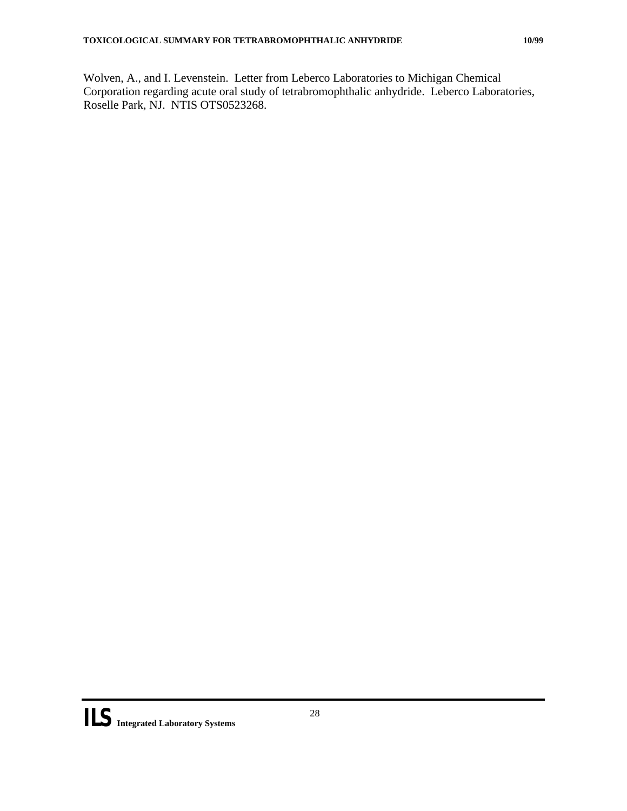Wolven, A., and I. Levenstein. Letter from Leberco Laboratories to Michigan Chemical Corporation regarding acute oral study of tetrabromophthalic anhydride. Leberco Laboratories, Roselle Park, NJ. NTIS OTS0523268.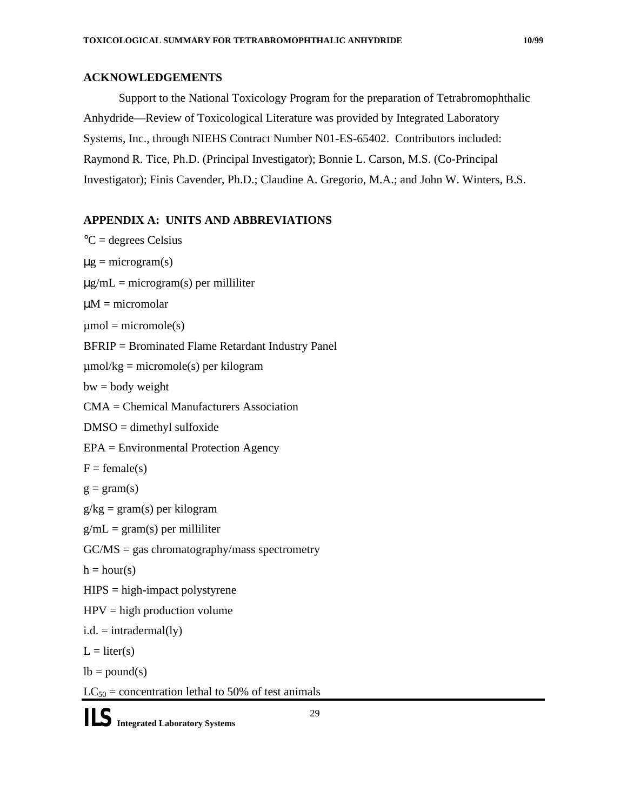#### **ACKNOWLEDGEMENTS**

Support to the National Toxicology Program for the preparation of Tetrabromophthalic Anhydride—Review of Toxicological Literature was provided by Integrated Laboratory Systems, Inc., through NIEHS Contract Number N01-ES-65402. Contributors included: Raymond R. Tice, Ph.D. (Principal Investigator); Bonnie L. Carson, M.S. (Co-Principal Investigator); Finis Cavender, Ph.D.; Claudine A. Gregorio, M.A.; and John W. Winters, B.S.

## **APPENDIX A: UNITS AND ABBREVIATIONS**

```
°C = degrees Celsius 
\mug = microgram(s)
\mug/mL = microgram(s) per milliliter
\muM = micromolar
\mumol = micromole(s)
BFRIP = Brominated Flame Retardant Industry Panel 
\mumol/kg = micromole(s) per kilogram
bw = body weightCMA = Chemical Manufacturers Association 
DMSO = dimethyl sulfoxide 
EPA = Environmental Protection Agency 
F = female(s)g = \text{gram}(s)g/kg = gram(s) per kilogram
g/mL = gram(s) per milliliter
GC/MS = gas chromatography/mass spectrometry
h = hour(s)HIPS = high-impact polystyreneHPV = high production volume
i.d. = intradermal(ly)L = liter(s)lb = pound(s)LC_{50} = concentration lethal to 50% of test animals
```